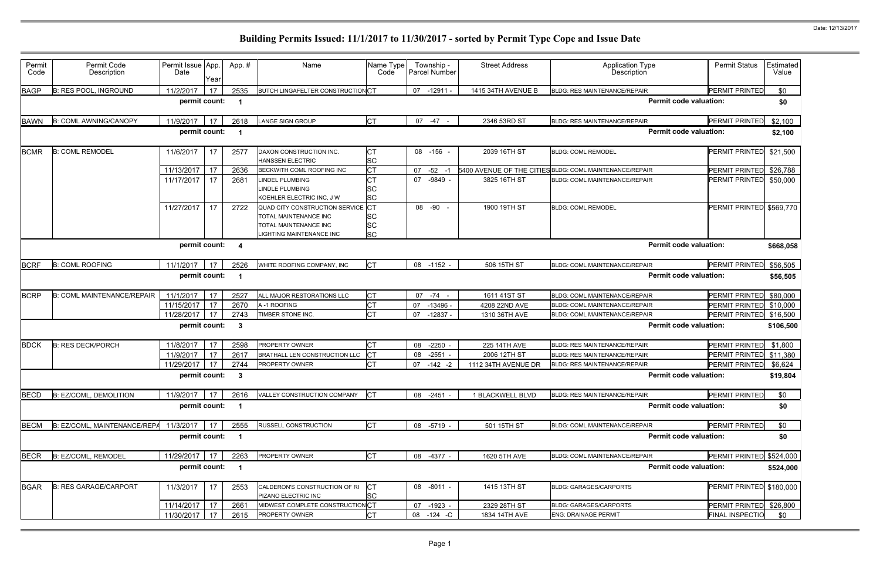| Permit<br>Code | Permit Code<br>Description        | Permit Issue App.<br>Date | Year | App. #       | Name                                                                                                            | Name Type<br>Code                   | Township -<br>Parcel Number | <b>Street Address</b> | <b>Application Type</b><br>Description                  | <b>Permit Status</b>     | Estimated<br>Value |
|----------------|-----------------------------------|---------------------------|------|--------------|-----------------------------------------------------------------------------------------------------------------|-------------------------------------|-----------------------------|-----------------------|---------------------------------------------------------|--------------------------|--------------------|
| <b>BAGP</b>    | B: RES POOL, INGROUND             | 11/2/2017                 | 17   | 2535         | BUTCH LINGAFELTER CONSTRUCTION CT                                                                               |                                     | $-12911-$<br>07             | 1415 34TH AVENUE B    | <b>BLDG: RES MAINTENANCE/REPAIR</b>                     | PERMIT PRINTED           | \$0                |
|                |                                   | permit count:             |      | -1           |                                                                                                                 |                                     |                             |                       | <b>Permit code valuation:</b>                           |                          | \$0                |
| <b>BAWN</b>    | <b>B: COML AWNING/CANOPY</b>      | 11/9/2017                 | 17   | 2618         | <b>LANGE SIGN GROUP</b>                                                                                         | Iст                                 | 07 -47                      | 2346 53RD ST          | BLDG: RES MAINTENANCE/REPAIR                            | PERMIT PRINTED           | \$2,100            |
|                |                                   | permit count:             |      | -1           |                                                                                                                 |                                     |                             |                       | <b>Permit code valuation:</b>                           |                          | \$2,100            |
| <b>BCMR</b>    | <b>B: COML REMODEL</b>            | 11/6/2017                 | 17   | 2577         | DAXON CONSTRUCTION INC.<br><b>HANSSEN ELECTRIC</b>                                                              | IСТ<br><b>SC</b>                    | 08 -156 -                   | 2039 16TH ST          | <b>BLDG: COML REMODEL</b>                               | PERMIT PRINTED           | \$21,500           |
|                |                                   | 11/13/2017                | 17   | 2636         | BECKWITH COML ROOFING INC                                                                                       | <b>CT</b>                           | $-52 - 1$<br>07             |                       | 5400 AVENUE OF THE CITIES BLDG: COML MAINTENANCE/REPAIR | PERMIT PRINTED           | \$26,788           |
|                |                                   | 11/17/2017                | 17   | 2681         | <b>LINDEL PLUMBING</b><br><b>LINDLE PLUMBING</b><br>KOEHLER ELECTRIC INC, J W                                   | <b>SC</b><br><b>SC</b>              | 07 -9849 -                  | 3825 16TH ST          | BLDG: COML MAINTENANCE/REPAIR                           | PERMIT PRINTED           | \$50,000           |
|                |                                   | 11/27/2017                | 17   | 2722         | QUAD CITY CONSTRUCTION SERVICE CT<br>TOTAL MAINTENANCE INC<br>TOTAL MAINTENANCE INC<br>LIGHTING MAINTENANCE INC | <b>SC</b><br><b>SC</b><br><b>SC</b> | 08 -90                      | 1900 19TH ST          | <b>BLDG: COML REMODEL</b>                               | PERMIT PRINTED \$569,770 |                    |
|                |                                   | permit count:             |      | -4           |                                                                                                                 |                                     |                             |                       | <b>Permit code valuation:</b>                           |                          | \$668,058          |
| <b>BCRF</b>    | <b>B: COML ROOFING</b>            | 11/1/2017                 | 17   | 2526         | WHITE ROOFING COMPANY, INC                                                                                      | <b>CT</b>                           | $-1152 -$<br>08             | 506 15TH ST           | BLDG: COML MAINTENANCE/REPAIR                           | PERMIT PRINTED           | \$56,505           |
|                |                                   | permit count:             |      |              |                                                                                                                 |                                     |                             |                       | <b>Permit code valuation:</b>                           |                          | \$56,505           |
| <b>BCRP</b>    | <b>B: COML MAINTENANCE/REPAIR</b> | 11/1/2017                 | 17   | 2527         | ALL MAJOR RESTORATIONS LLC                                                                                      | Iст                                 | 07<br>$-74 -$               | 1611 41ST ST          | BLDG: COML MAINTENANCE/REPAIR                           | PERMIT PRINTED \$80,000  |                    |
|                |                                   | 11/15/2017                | 17   | 2670         | A-1 ROOFING                                                                                                     | <b>CT</b>                           | 07<br>-13496 -              | 4208 22ND AVE         | BLDG: COML MAINTENANCE/REPAIR                           | PERMIT PRINTED \$10,000  |                    |
|                |                                   | 11/28/2017                | 17   | 2743         | TIMBER STONE INC.                                                                                               | <b>CT</b>                           | $-12837 -$<br>07            | 1310 36TH AVE         | BLDG: COML MAINTENANCE/REPAIR                           | PERMIT PRINTED \$16,500  |                    |
|                |                                   | permit count:             |      | $\mathbf{3}$ |                                                                                                                 |                                     |                             |                       | <b>Permit code valuation:</b>                           |                          | \$106,500          |
| <b>BDCK</b>    | <b>B: RES DECK/PORCH</b>          | 11/8/2017                 | 17   | 2598         | PROPERTY OWNER                                                                                                  | <b>CT</b>                           | 08<br>$-2250$               | 225 14TH AVE          | <b>BLDG: RES MAINTENANCE/REPAIR</b>                     | PERMIT PRINTED           | \$1,800            |
|                |                                   | 11/9/2017                 | 17   | 2617         | BRATHALL LEN CONSTRUCTION LLC                                                                                   | <b>ICT</b>                          | 08<br>$-2551$               | 2006 12TH ST          | <b>BLDG: RES MAINTENANCE/REPAIR</b>                     | PERMIT PRINTED \$11,380  |                    |
|                |                                   | 11/29/2017                | 17   | 2744         | PROPERTY OWNER                                                                                                  | <b>CT</b>                           | $-142 - 2$<br>07            | 1112 34TH AVENUE DR   | <b>BLDG: RES MAINTENANCE/REPAIR</b>                     | PERMIT PRINTED           | \$6,624            |
|                |                                   | permit count:             |      | 3            |                                                                                                                 |                                     |                             |                       | <b>Permit code valuation:</b>                           |                          | \$19,804           |
| <b>BECD</b>    | B: EZ/COML, DEMOLITION            | 11/9/2017                 | 17   | 2616         | VALLEY CONSTRUCTION COMPANY                                                                                     | <b>ICT</b>                          | 08<br>$-2451 -$             | 1 BLACKWELL BLVD      | <b>BLDG: RES MAINTENANCE/REPAIR</b>                     | PERMIT PRINTED           | \$0                |
|                |                                   | permit count:             |      | -1           |                                                                                                                 |                                     |                             |                       | <b>Permit code valuation:</b>                           |                          | \$0                |
| <b>BECM</b>    | B: EZ/COML, MAINTENANCE/REPA      | 11/3/2017                 | 17   | 2555         | <b>RUSSELL CONSTRUCTION</b>                                                                                     | <b>CT</b>                           | 08 -5719 -                  | 501 15TH ST           | <b>BLDG: COML MAINTENANCE/REPAIR</b>                    | PERMIT PRINTED           | \$0                |
|                |                                   | permit count:             |      |              |                                                                                                                 |                                     |                             |                       | <b>Permit code valuation:</b>                           |                          | \$0                |
| <b>BECR</b>    | B: EZ/COML, REMODEL               | 11/29/2017                | 17   | 2263         | PROPERTY OWNER                                                                                                  | <b>ICT</b>                          | 08 -4377 -                  | 1620 5TH AVE          | BLDG: COML MAINTENANCE/REPAIR                           | PERMIT PRINTED           | \$524,000          |
|                |                                   | permit count:             |      |              |                                                                                                                 |                                     |                             |                       | <b>Permit code valuation:</b>                           |                          | \$524,000          |
| <b>BGAR</b>    | <b>B: RES GARAGE/CARPORT</b>      | 11/3/2017                 | 17   | 2553         | CALDERON'S CONSTRUCTION OF RI<br>PIZANO ELECTRIC INC                                                            | <b>ICT</b><br><b>SC</b>             | 08 -8011 -                  | 1415 13TH ST          | <b>BLDG: GARAGES/CARPORTS</b>                           | PERMIT PRINTED \$180,000 |                    |
|                |                                   | 11/14/2017                | 17   | 2661         | MIDWEST COMPLETE CONSTRUCTION CT                                                                                |                                     | $-1923 -$<br>07             | 2329 28TH ST          | <b>BLDG: GARAGES/CARPORTS</b>                           | PERMIT PRINTED \$26,800  |                    |
|                |                                   | 11/30/2017                | 17   | 2615         | PROPERTY OWNER                                                                                                  | <b>CT</b>                           | 80<br>$-124$ -C             | 1834 14TH AVE         | <b>ENG: DRAINAGE PERMIT</b>                             | <b>FINAL INSPECTIO</b>   | \$0                |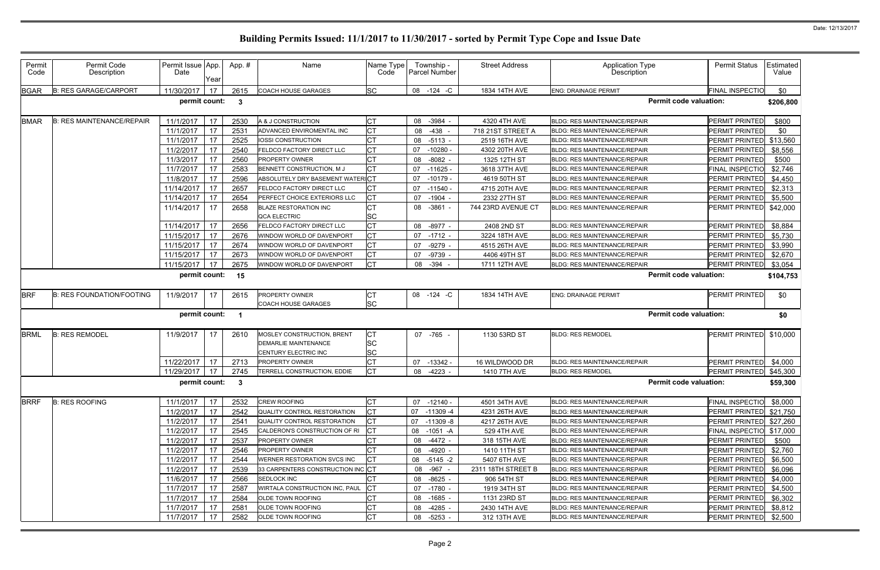| Permit<br>Code | Permit Code<br>Description       | Permit Issue App.<br>Date | Year | App.#        | Name                                                                              | Name Type<br>Code            | Township -<br>Parcel Number | <b>Street Address</b> | <b>Application Type</b><br>Description | <b>Permit Status</b>     | Estimated<br>Value |
|----------------|----------------------------------|---------------------------|------|--------------|-----------------------------------------------------------------------------------|------------------------------|-----------------------------|-----------------------|----------------------------------------|--------------------------|--------------------|
| <b>BGAR</b>    | <b>B: RES GARAGE/CARPORT</b>     | 11/30/2017                | 17   | 2615         | <b>COACH HOUSE GARAGES</b>                                                        | <b>SC</b>                    | 08 - 124 - C                | 1834 14TH AVE         | <b>ENG: DRAINAGE PERMIT</b>            | <b>FINAL INSPECTIO</b>   | \$0                |
|                |                                  | permit count:             |      | $\mathbf{3}$ |                                                                                   |                              |                             |                       | <b>Permit code valuation:</b>          |                          | \$206,800          |
| <b>BMAR</b>    | <b>B: RES MAINTENANCE/REPAIR</b> | 11/1/2017                 | 17   | 2530         | A & J CONSTRUCTION                                                                | <b>CT</b>                    | 08<br>$-3984$               | 4320 4TH AVE          | <b>BLDG: RES MAINTENANCE/REPAIR</b>    | PERMIT PRINTED           | \$800              |
|                |                                  | 11/1/2017                 | 17   | 2531         | ADVANCED ENVIROMENTAL INC                                                         | <b>CT</b>                    | 08<br>-438                  | 718 21ST STREET A     | <b>BLDG: RES MAINTENANCE/REPAIR</b>    | PERMIT PRINTED           | \$0                |
|                |                                  | 11/1/2017                 | 17   | 2525         | IOSSI CONSTRUCTION                                                                | СT                           | $-5113 -$<br>08             | 2519 16TH AVE         | <b>BLDG: RES MAINTENANCE/REPAIR</b>    | PERMIT PRINTED \$13,560  |                    |
|                |                                  | 11/2/2017                 | 17   | 2540         | FELDCO FACTORY DIRECT LLC                                                         | <b>CT</b>                    | 07<br>$-10280$              | 4302 20TH AVE         | <b>BLDG: RES MAINTENANCE/REPAIR</b>    | PERMIT PRINTED           | \$8,556            |
|                |                                  | 11/3/2017                 | 17   | 2560         | <b>PROPERTY OWNER</b>                                                             | <b>CT</b>                    | $-8082$<br>08               | 1325 12TH ST          | <b>BLDG: RES MAINTENANCE/REPAIR</b>    | PERMIT PRINTED           | \$500              |
|                |                                  | 11/7/2017                 | 17   | 2583         | BENNETT CONSTRUCTION, M J                                                         | <b>CT</b>                    | 07<br>$-11625$              | 3618 37TH AVE         | <b>BLDG: RES MAINTENANCE/REPAIR</b>    | <b>FINAL INSPECTIO</b>   | \$2,746            |
|                |                                  | 11/8/2017                 | 17   | 2596         | ABSOLUTELY DRY BASEMENT WATERICT                                                  |                              | 07<br>$-10179$              | 4619 50TH ST          | <b>BLDG: RES MAINTENANCE/REPAIR</b>    | PERMIT PRINTED           | \$4,450            |
|                |                                  | 11/14/2017                | 17   | 2657         | FELDCO FACTORY DIRECT LLC                                                         | <b>CT</b>                    | 07<br>-11540 -              | 4715 20TH AVE         | <b>BLDG: RES MAINTENANCE/REPAIR</b>    | <b>PERMIT PRINTED</b>    | \$2,313            |
|                |                                  | 11/14/2017                | 17   | 2654         | PERFECT CHOICE EXTERIORS LLC                                                      | <b>CT</b>                    | 07<br>$-1904$               | 2332 27TH ST          | <b>BLDG: RES MAINTENANCE/REPAIR</b>    | PERMIT PRINTED           | \$5,500            |
|                |                                  | 11/14/2017                | 17   | 2658         | <b>BLAZE RESTORATION INC</b><br><b>QCA ELECTRIC</b>                               | СT<br><b>SC</b>              | 08<br>$-3861 -$             | 744 23RD AVENUE CT    | <b>BLDG: RES MAINTENANCE/REPAIR</b>    | PERMIT PRINTED           | \$42,000           |
|                |                                  | 11/14/2017                | 17   | 2656         | FELDCO FACTORY DIRECT LLC                                                         | <b>CT</b>                    | 08<br>$-8977 -$             | 2408 2ND ST           | BLDG: RES MAINTENANCE/REPAIR           | PERMIT PRINTED           | \$8,884            |
|                |                                  | 11/15/2017                | 17   | 2676         | WINDOW WORLD OF DAVENPORT                                                         | <b>CT</b>                    | 07<br>$-1712 -$             | 3224 18TH AVE         | <b>BLDG: RES MAINTENANCE/REPAIR</b>    | PERMIT PRINTED           | \$5,730            |
|                |                                  | 11/15/2017                | 17   | 2674         | WINDOW WORLD OF DAVENPORT                                                         | <b>CT</b>                    | $-9279$ -<br>07             | 4515 26TH AVE         | <b>BLDG: RES MAINTENANCE/REPAIR</b>    | PERMIT PRINTED           | \$3,990            |
|                |                                  | 11/15/2017                | 17   | 2673         | WINDOW WORLD OF DAVENPORT                                                         | <b>CT</b>                    | -9739 -<br>07               | 4406 49TH ST          | BLDG: RES MAINTENANCE/REPAIR           | <b>PERMIT PRINTED</b>    | \$2,670            |
|                |                                  | 11/15/2017                | 17   | 2675         | WINDOW WORLD OF DAVENPORT                                                         | <b>CT</b>                    | 08<br>$-394$                | 1711 12TH AVE         | <b>BLDG: RES MAINTENANCE/REPAIR</b>    | <b>PERMIT PRINTED</b>    | \$3,054            |
|                |                                  | permit count:             |      | 15           |                                                                                   |                              |                             |                       | <b>Permit code valuation:</b>          |                          | \$104,753          |
| <b>BRF</b>     | <b>B: RES FOUNDATION/FOOTING</b> | 11/9/2017                 | 17   | 2615         | PROPERTY OWNER<br>COACH HOUSE GARAGES                                             | <b>CT</b><br><b>SC</b>       | 08 -124 -C                  | 1834 14TH AVE         | <b>ENG: DRAINAGE PERMIT</b>            | PERMIT PRINTED           | \$0                |
|                |                                  | permit count:             |      |              |                                                                                   |                              |                             |                       | <b>Permit code valuation:</b>          |                          | \$0                |
| <b>BRML</b>    | <b>B: RES REMODEL</b>            | 11/9/2017                 | 17   | 2610         | MOSLEY CONSTRUCTION, BRENT<br><b>DEMARLIE MAINTENANCE</b><br>CENTURY ELECTRIC INC | <b>CT</b><br>SC<br><b>SC</b> | 07 -765 -                   | 1130 53RD ST          | <b>BLDG: RES REMODEL</b>               | PERMIT PRINTED           | \$10,000           |
|                |                                  | 11/22/2017                | 17   | 2713         | PROPERTY OWNER                                                                    | <b>CT</b>                    | 07<br>$-13342 -$            | 16 WILDWOOD DR        | <b>BLDG: RES MAINTENANCE/REPAIR</b>    | PERMIT PRINTED           | \$4,000            |
|                |                                  | 11/29/2017                | 17   | 2745         | TERRELL CONSTRUCTION, EDDIE                                                       | <b>CT</b>                    | $-4223$<br>08               | 1410 7TH AVE          | <b>BLDG: RES REMODEL</b>               | PERMIT PRINTED \$45,300  |                    |
|                |                                  | permit count: 3           |      |              |                                                                                   |                              |                             |                       | <b>Permit code valuation:</b>          |                          | \$59,300           |
| <b>BRRF</b>    | <b>B: RES ROOFING</b>            | 11/1/2017                 | 17   | 2532         | <b>CREW ROOFING</b>                                                               | <b>CT</b>                    | $07 - 12140 -$              | 4501 34TH AVE         | <b>BLDG: RES MAINTENANCE/REPAIR</b>    | <b>FINAL INSPECTIO</b>   | \$8,000            |
|                |                                  | 11/2/2017                 | 17   | 2542         | QUALITY CONTROL RESTORATION                                                       | <b>ICT</b>                   | 07<br>$-11309 - 4$          | 4231 26TH AVE         | <b>BLDG: RES MAINTENANCE/REPAIR</b>    | PERMIT PRINTED \$21,750  |                    |
|                |                                  | 11/2/2017                 | 17   | 2541         | QUALITY CONTROL RESTORATION                                                       | <b>CT</b>                    | 07<br>-11309 -8             | 4217 26TH AVE         | <b>BLDG: RES MAINTENANCE/REPAIR</b>    | PERMIT PRINTED \$27,260  |                    |
|                |                                  | 11/2/2017                 | 17   | 2545         | CALDERON'S CONSTRUCTION OF RI                                                     |                              | 08<br>$-1051 - A$           | 529 4TH AVE           | <b>BLDG: RES MAINTENANCE/REPAIR</b>    | FINAL INSPECTIO \$17,000 |                    |
|                |                                  | 11/2/2017                 | 17   | 2537         | <b>PROPERTY OWNER</b>                                                             | СT                           | 08<br>-4472 -               | 318 15TH AVE          | <b>BLDG: RES MAINTENANCE/REPAIR</b>    | PERMIT PRINTED           | \$500              |
|                |                                  | 11/2/2017                 | 17   | 2546         | <b>PROPERTY OWNER</b>                                                             | <b>CT</b>                    | 08<br>-4920 -               | 1410 11TH ST          | BLDG: RES MAINTENANCE/REPAIR           | <b>PERMIT PRINTED</b>    | \$2,760            |
|                |                                  | 11/2/2017                 | 17   | 2544         | WERNER RESTORATION SVCS INC                                                       | <b>CT</b>                    | 08 -5145 -2                 | 5407 6TH AVE          | <b>BLDG: RES MAINTENANCE/REPAIR</b>    | PERMIT PRINTED           | \$6,500            |
|                |                                  | 11/2/2017                 | 17   | 2539         | 33 CARPENTERS CONSTRUCTION INC CT                                                 |                              | 08 - 967 -                  | 2311 18TH STREET B    | BLDG: RES MAINTENANCE/REPAIR           | PERMIT PRINTED           | \$6,096            |
|                |                                  | 11/6/2017                 | 17   | 2566         | SEDLOCK INC                                                                       | <b>CT</b>                    | 08<br>$-8625 -$             | 906 54TH ST           | BLDG: RES MAINTENANCE/REPAIR           | PERMIT PRINTED           | \$4,000            |
|                |                                  | 11/7/2017                 | 17   | 2587         | WIRTALA CONSTRUCTION INC, PAUL                                                    | <b>CT</b>                    | 07<br>-1780 -               | 1919 34TH ST          | <b>BLDG: RES MAINTENANCE/REPAIR</b>    | <b>PERMIT PRINTED</b>    | \$4,500            |
|                |                                  | 11/7/2017                 | 17   | 2584         | OLDE TOWN ROOFING                                                                 | <b>CT</b>                    | 08<br>$-1685 -$             | 1131 23RD ST          | BLDG: RES MAINTENANCE/REPAIR           | PERMIT PRINTED           | \$6,302            |
|                |                                  | 11/7/2017                 | 17   | 2581         | OLDE TOWN ROOFING                                                                 | <b>CT</b>                    | 08<br>$-4285 -$             | 2430 14TH AVE         | BLDG: RES MAINTENANCE/REPAIR           | PERMIT PRINTED           | \$8,812            |
|                |                                  | 11/7/2017                 | 17   | 2582         | <b>OLDE TOWN ROOFING</b>                                                          | <b>CT</b>                    | $-5253 -$<br>08             | 312 13TH AVE          | <b>BLDG: RES MAINTENANCE/REPAIR</b>    | PERMIT PRINTED           | \$2,500            |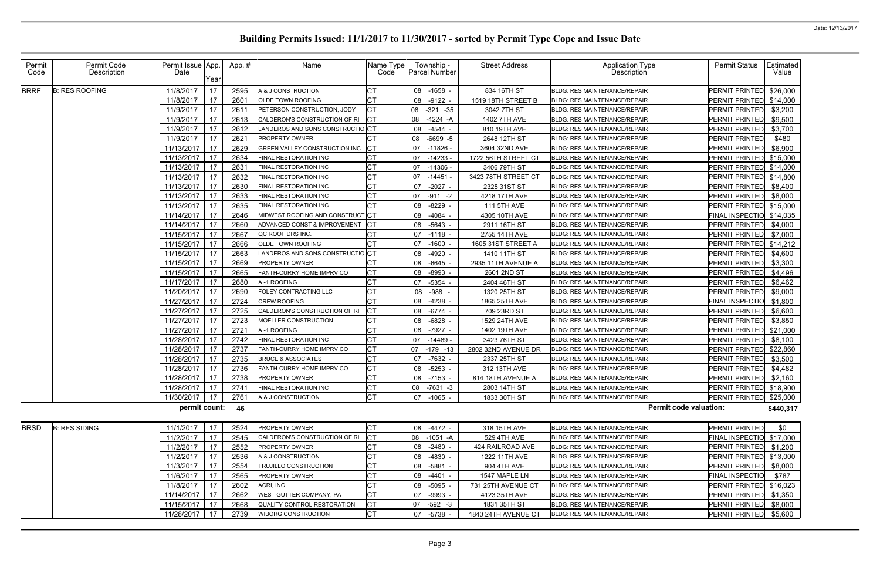| Permit<br>Code | Permit Code<br>Description | Permit Issue App<br>Date | Year | App.# | Name                              | Name Type<br>Code | Township -<br><b>Parcel Number</b> | <b>Street Address</b> | Application Type<br>Description     | <b>Permit Status</b>     | Estimated<br>Value |
|----------------|----------------------------|--------------------------|------|-------|-----------------------------------|-------------------|------------------------------------|-----------------------|-------------------------------------|--------------------------|--------------------|
| <b>BRRF</b>    | <b>B: RES ROOFING</b>      | 11/8/2017                | 17   | 2595  | A & J CONSTRUCTION                | СT                | 08 -1658                           | 834 16TH ST           | <b>BLDG: RES MAINTENANCE/REPAIR</b> | PERMIT PRINTED           | \$26,000           |
|                |                            | 11/8/2017                | 17   | 2601  | OLDE TOWN ROOFING                 |                   | $-9122 -$<br>08                    | 1519 18TH STREET B    | <b>BLDG: RES MAINTENANCE/REPAIR</b> | PERMIT PRINTED           | \$14,000           |
|                |                            | 11/9/2017                | 17   | 2611  | PETERSON CONSTRUCTION, JODY       | Iст               | 08<br>$-321 - 35$                  | 3042 7TH ST           | <b>BLDG: RES MAINTENANCE/REPAIR</b> | PERMIT PRINTED           | \$3,200            |
|                |                            | 11/9/2017                | 17   | 2613  | CALDERON'S CONSTRUCTION OF RI     |                   | 08<br>$-4224 - A$                  | 1402 7TH AVE          | <b>BLDG: RES MAINTENANCE/REPAIR</b> | PERMIT PRINTED           | \$9,500            |
|                |                            | 11/9/2017                | 17   | 2612  | LANDEROS AND SONS CONSTRUCTIOICT  |                   | 08<br>-4544 -                      | 810 19TH AVE          | BLDG: RES MAINTENANCE/REPAIR        | <b>PERMIT PRINTED</b>    | \$3,700            |
|                |                            | 11/9/2017                | 17   | 2621  | <b>PROPERTY OWNER</b>             |                   | 08<br>$-6699 - 5$                  | 2648 12TH ST          | <b>BLDG: RES MAINTENANCE/REPAIR</b> | PERMIT PRINTED           | \$480              |
|                |                            | 11/13/2017               | 17   | 2629  | GREEN VALLEY CONSTRUCTION INC. CT |                   | 07<br>-11826 -                     | 3604 32ND AVE         | <b>BLDG: RES MAINTENANCE/REPAIR</b> | PERMIT PRINTED           | \$6,900            |
|                |                            | 11/13/2017               | 17   | 2634  | FINAL RESTORATION INC             |                   | 07 -14233                          | 1722 56TH STREET CT   | <b>BLDG: RES MAINTENANCE/REPAIR</b> | PERMIT PRINTED \$15,000  |                    |
|                |                            | 11/13/2017               | 17   | 2631  | FINAL RESTORATION INC             |                   | 07<br>-14306                       | 3406 79TH ST          | <b>BLDG: RES MAINTENANCE/REPAIR</b> | PERMIT PRINTED \$14,000  |                    |
|                |                            | 11/13/2017               | 17   | 2632  | FINAL RESTORATION INC             |                   | 07<br>$-14451$                     | 3423 78TH STREET CT   | <b>BLDG: RES MAINTENANCE/REPAIR</b> | PERMIT PRINTED \$14,800  |                    |
|                |                            | 11/13/2017               | 17   | 2630  | FINAL RESTORATION INC             |                   | $-2027 -$<br>07                    | 2325 31ST ST          | <b>BLDG: RES MAINTENANCE/REPAIR</b> | PERMIT PRINTED           | \$8,400            |
|                |                            | 11/13/2017               | 17   | 2633  | FINAL RESTORATION INC             |                   | 07<br>-911 -2                      | 4218 17TH AVE         | <b>BLDG: RES MAINTENANCE/REPAIR</b> | <b>PERMIT PRINTED</b>    | \$8,000            |
|                |                            | 11/13/2017               | 17   | 2635  | FINAL RESTORATION INC             |                   | 08<br>$-8229$                      | 111 5TH AVE           | <b>BLDG: RES MAINTENANCE/REPAIR</b> | PERMIT PRINTED \$15,000  |                    |
|                |                            | 11/14/2017               | 17   | 2646  | MIDWEST ROOFING AND CONSTRUCTICT  |                   | 08<br>-4084                        | 4305 10TH AVE         | <b>BLDG: RES MAINTENANCE/REPAIR</b> | FINAL INSPECTIO \$14,035 |                    |
|                |                            | 11/14/2017               | 17   | 2660  | ADVANCED CONST & IMPROVEMENT      |                   | -5643<br>08                        | 2911 16TH ST          | <b>BLDG: RES MAINTENANCE/REPAIR</b> | PERMIT PRINTED           | \$4,000            |
|                |                            | 11/15/2017               | 17   | 2667  | QC ROOF DRS INC.                  |                   | 07<br>-1118 -                      | 2755 14TH AVE         | BLDG: RES MAINTENANCE/REPAIR        | PERMIT PRINTED           | \$7,000            |
|                |                            | 11/15/2017               | 17   | 2666  | OLDE TOWN ROOFING                 |                   | 07 -1600                           | 1605 31ST STREET A    | <b>BLDG: RES MAINTENANCE/REPAIR</b> | PERMIT PRINTED \$14,212  |                    |
|                |                            | 11/15/2017               | 17   | 2663  | LANDEROS AND SONS CONSTRUCTIOICT  |                   | 08<br>-4920                        | 1410 11TH ST          | <b>BLDG: RES MAINTENANCE/REPAIR</b> | PERMIT PRINTED           | \$4,600            |
|                |                            | 11/15/2017               | 17   | 2669  | PROPERTY OWNER                    | СT                | -6645<br>08                        | 2935 11TH AVENUE A    | <b>BLDG: RES MAINTENANCE/REPAIR</b> | PERMIT PRINTED           | \$3,300            |
|                |                            | 11/15/2017               | 17   | 2665  | FANTH-CURRY HOME IMPRV CO         | СT                | -8993<br>08                        | 2601 2ND ST           | <b>BLDG: RES MAINTENANCE/REPAIR</b> | PERMIT PRINTED           | \$4,496            |
|                |                            | 11/17/2017               | 17   | 2680  | A -1 ROOFING                      |                   | 07<br>-5354 -                      | 2404 46TH ST          | <b>BLDG: RES MAINTENANCE/REPAIR</b> | <b>PERMIT PRINTED</b>    | \$6,462            |
|                |                            | 11/20/2017               | 17   | 2690  | FOLEY CONTRACTING LLC             | <b>CT</b>         | -988<br>08                         | 1320 25TH ST          | <b>BLDG: RES MAINTENANCE/REPAIR</b> | PERMIT PRINTED           | \$9,000            |
|                |                            | 11/27/2017               | 17   | 2724  | <b>CREW ROOFING</b>               | <b>CT</b>         | 08<br>-4238                        | 1865 25TH AVE         | <b>BLDG: RES MAINTENANCE/REPAIR</b> | <b>FINAL INSPECTIO</b>   | \$1,800            |
|                |                            | 11/27/2017               | 17   | 2725  | CALDERON'S CONSTRUCTION OF RI     | Iст               | $-6774$<br>08                      | 709 23RD ST           | <b>BLDG: RES MAINTENANCE/REPAIR</b> | PERMIT PRINTED           | \$6,600            |
|                |                            | 11/27/2017               | 17   | 2723  | MOELLER CONSTRUCTION              | <b>CT</b>         | $-6828 -$<br>08                    | 1529 24TH AVE         | <b>BLDG: RES MAINTENANCE/REPAIR</b> | PERMIT PRINTED           | \$3,850            |
|                |                            | 11/27/2017               | 17   | 2721  | A-1 ROOFING                       | <b>CT</b>         | 08 -7927 -                         | 1402 19TH AVE         | <b>BLDG: RES MAINTENANCE/REPAIR</b> | PERMIT PRINTED           | \$21,000           |
|                |                            | 11/28/2017               | 17   | 2742  | FINAL RESTORATION INC             | СT                | $-14489$<br>07                     | 3423 76TH ST          | <b>BLDG: RES MAINTENANCE/REPAIR</b> | PERMIT PRINTED           | \$8,100            |
|                |                            | 11/28/2017               | 17   | 2737  | FANTH-CURRY HOME IMPRV CO         | Iст               | 07<br>$-179 - 13$                  | 2802 32ND AVENUE DR   | <b>BLDG: RES MAINTENANCE/REPAIR</b> | PERMIT PRINTED           | \$22,860           |
|                |                            | 11/28/2017               | 17   | 2735  | <b>BRUCE &amp; ASSOCIATES</b>     | СT                | -7632 -<br>07                      | 2337 25TH ST          | <b>BLDG: RES MAINTENANCE/REPAIR</b> | PERMIT PRINTED           | \$3,500            |
|                |                            | 11/28/2017               | 17   | 2736  | FANTH-CURRY HOME IMPRV CO         | Iст               | 08 -5253 -                         | 312 13TH AVE          | <b>BLDG: RES MAINTENANCE/REPAIR</b> | PERMIT PRINTED           | \$4,482            |
|                |                            | 11/28/2017 17            |      | 2738  | PROPERTY OWNER                    | Iст               | 08 -7153 -                         | 814 18TH AVENUE A     | BLDG: RES MAINTENANCE/REPAIR        | PERMIT PRINTED \$2,160   |                    |
|                |                            | 11/28/2017 17            |      | 2741  | FINAL RESTORATION INC             | <b>CT</b>         | 08 -7631 -3                        | 2803 14TH ST          | BLDG: RES MAINTENANCE/REPAIR        | PERMIT PRINTED \$18,900  |                    |
|                |                            | 11/30/2017               | 17   | 2761  | A & J CONSTRUCTION                | <b>CT</b>         | 07 -1065 -                         | 1833 30TH ST          | BLDG: RES MAINTENANCE/REPAIR        | PERMIT PRINTED \$25,000  |                    |
|                |                            | permit count: 46         |      |       |                                   |                   |                                    |                       | <b>Permit code valuation:</b>       |                          | \$440,317          |
| <b>BRSD</b>    | <b>B: RES SIDING</b>       | 11/1/2017                | 17   | 2524  | PROPERTY OWNER                    | <b>CT</b>         | 08 -4472 -                         | 318 15TH AVE          | BLDG: RES MAINTENANCE/REPAIR        | PERMIT PRINTED           | \$0                |
|                |                            | 11/2/2017                | 17   | 2545  | CALDERON'S CONSTRUCTION OF RI     | <b>ICT</b>        | 08 -1051 -A                        | 529 4TH AVE           | <b>BLDG: RES MAINTENANCE/REPAIR</b> | FINAL INSPECTIO \$17,000 |                    |
|                |                            | 11/2/2017                | 17   | 2552  | PROPERTY OWNER                    |                   | 08 -2480 -                         | 424 RAILROAD AVE      | BLDG: RES MAINTENANCE/REPAIR        | PERMIT PRINTED           | \$1,200            |
|                |                            | 11/2/2017                | 17   | 2536  | A & J CONSTRUCTION                | СT                | 08 -4830 -                         | 1222 11TH AVE         | BLDG: RES MAINTENANCE/REPAIR        | PERMIT PRINTED \$13,000  |                    |
|                |                            | 11/3/2017                | 17   | 2554  | TRUJILLO CONSTRUCTION             | Iст               | 08 -5881 -                         | 904 4TH AVE           | <b>BLDG: RES MAINTENANCE/REPAIR</b> | PERMIT PRINTED           | \$8,000            |
|                |                            | 11/6/2017                | 17   | 2565  | PROPERTY OWNER                    | СT                | $-4401 -$<br>08                    | 1547 MAPLE LN         | BLDG: RES MAINTENANCE/REPAIR        | FINAL INSPECTIO          | \$787              |
|                |                            | 11/8/2017                | 17   | 2602  | ACRI, INC.                        | СT                | 08 -5095 -                         | 731 25TH AVENUE CT    | BLDG: RES MAINTENANCE/REPAIR        | PERMIT PRINTED \$16,023  |                    |
|                |                            | 11/14/2017               | 17   | 2662  | WEST GUTTER COMPANY, PAT          | СT                | -9993 -<br>07                      | 4123 35TH AVE         | BLDG: RES MAINTENANCE/REPAIR        | PERMIT PRINTED           | \$1,350            |
|                |                            | 11/15/2017               | 17   | 2668  | QUALITY CONTROL RESTORATION       | <b>CT</b>         | 07<br>$-592 - 3$                   | 1831 35TH ST          | <b>BLDG: RES MAINTENANCE/REPAIR</b> | PERMIT PRINTED           | \$8,000            |
|                |                            | 11/28/2017               | 17   | 2739  | WIBORG CONSTRUCTION               | <b>CT</b>         | 07 -5738 -                         | 1840 24TH AVENUE CT   | <b>BLDG: RES MAINTENANCE/REPAIR</b> | PERMIT PRINTED \$5,600   |                    |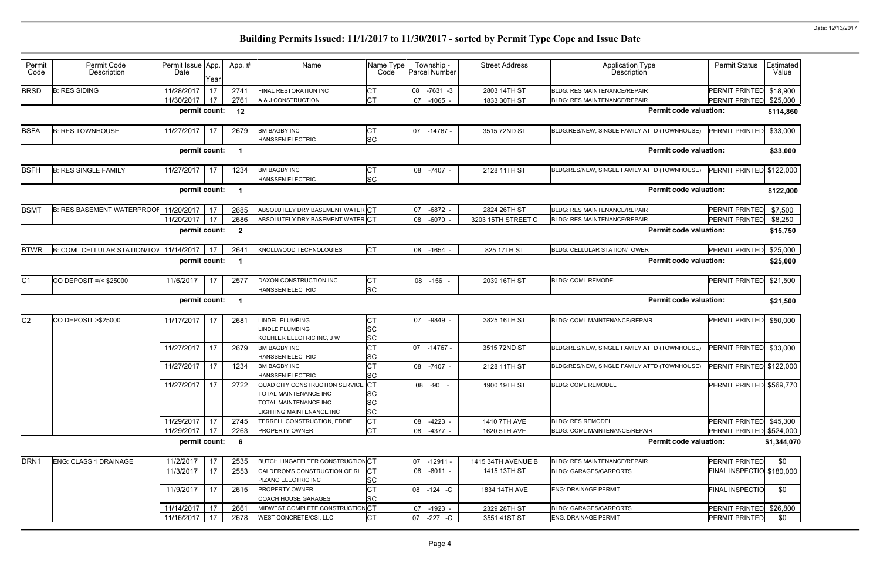| Permit<br>Code   | Permit Code<br>Description              | Permit Issue App.<br>Date | Year     | App.#                    | Name                                                                                                            | Name Type<br>Code                   | Township -<br>Parcel Number | <b>Street Address</b>              | <b>Application Type</b><br>Description       | <b>Permit Status</b>                        | Estimated<br>Value |
|------------------|-----------------------------------------|---------------------------|----------|--------------------------|-----------------------------------------------------------------------------------------------------------------|-------------------------------------|-----------------------------|------------------------------------|----------------------------------------------|---------------------------------------------|--------------------|
| <b>BRSD</b>      | <b>B: RES SIDING</b>                    | 11/28/2017                | 17       | 2741                     | <b>FINAL RESTORATION INC</b>                                                                                    | <b>CT</b>                           | $-7631 - 3$<br>08           | 2803 14TH ST                       | <b>BLDG: RES MAINTENANCE/REPAIR</b>          | PERMIT PRINTED \$18,900                     |                    |
|                  |                                         | 11/30/2017                | 17       | 2761                     | A & J CONSTRUCTION                                                                                              | <b>CT</b>                           | 07<br>$-1065$ .             | 1833 30TH ST                       | <b>BLDG: RES MAINTENANCE/REPAIR</b>          | PERMIT PRINTED                              | \$25,000           |
|                  |                                         | permit count:             |          | 12                       |                                                                                                                 |                                     |                             |                                    | <b>Permit code valuation:</b>                |                                             | \$114,860          |
| <b>BSFA</b>      | <b>B: RES TOWNHOUSE</b>                 | 11/27/2017                | 17       | 2679                     | <b>BM BAGBY INC</b>                                                                                             | <b>CT</b>                           | -14767 -<br>07              | 3515 72ND ST                       | BLDG:RES/NEW, SINGLE FAMILY ATTD (TOWNHOUSE) | PERMIT PRINTED                              | \$33,000           |
|                  |                                         |                           |          |                          | <b>HANSSEN ELECTRIC</b>                                                                                         | <b>SC</b>                           |                             |                                    |                                              |                                             |                    |
|                  |                                         | permit count:             |          | $\overline{\mathbf{1}}$  |                                                                                                                 |                                     |                             |                                    | <b>Permit code valuation:</b>                |                                             | \$33,000           |
| <b>BSFH</b>      | <b>B: RES SINGLE FAMILY</b>             | 11/27/2017                | 17       | 1234                     | <b>BM BAGBY INC</b>                                                                                             | <b>CT</b>                           | 08 -7407 -                  | 2128 11TH ST                       | BLDG:RES/NEW, SINGLE FAMILY ATTD (TOWNHOUSE) | PERMIT PRINTED \$122,000                    |                    |
|                  |                                         |                           |          |                          | <b>HANSSEN ELECTRIC</b>                                                                                         | <b>SC</b>                           |                             |                                    |                                              |                                             |                    |
|                  |                                         | permit count:             |          |                          |                                                                                                                 |                                     |                             |                                    | <b>Permit code valuation:</b>                |                                             | \$122,000          |
| <b>BSMT</b>      | <b>B: RES BASEMENT WATERPROOF</b>       | 11/20/2017                | 17       | 2685                     | ABSOLUTELY DRY BASEMENT WATER CT                                                                                |                                     | $-6872 -$<br>07             | 2824 26TH ST                       | <b>BLDG: RES MAINTENANCE/REPAIR</b>          | PERMIT PRINTED                              | \$7,500            |
|                  |                                         | 11/20/2017                | 17       | 2686                     | ABSOLUTELY DRY BASEMENT WATERICT                                                                                |                                     | $-6070 -$<br>08             | 3203 15TH STREET C                 | <b>BLDG: RES MAINTENANCE/REPAIR</b>          | PERMIT PRINTED                              | \$8,250            |
|                  |                                         | permit count:             |          | $\overline{2}$           |                                                                                                                 |                                     |                             |                                    | <b>Permit code valuation:</b>                |                                             | \$15,750           |
| <b>BTWR</b>      | B: COML CELLULAR STATION/TOV 11/14/2017 |                           | 17       | 2641                     | KNOLLWOOD TECHNOLOGIES                                                                                          | <b>CT</b>                           | 08<br>$-1654$               | 825 17TH ST                        | BLDG: CELLULAR STATION/TOWER                 | <b>PERMIT PRINTED</b>                       | \$25,000           |
|                  |                                         | permit count:             |          | -1                       |                                                                                                                 |                                     |                             |                                    | <b>Permit code valuation:</b>                |                                             | \$25,000           |
| C <sub>1</sub>   | CO DEPOSIT = $/$ < \$25000              | 11/6/2017                 | 17       | 2577                     | DAXON CONSTRUCTION INC.<br><b>HANSSEN ELECTRIC</b>                                                              | <b>CT</b><br><b>SC</b>              | 08 -156                     | 2039 16TH ST                       | <b>BLDG: COML REMODEL</b>                    | <b>PERMIT PRINTED</b>                       | \$21,500           |
|                  |                                         | permit count:             |          |                          |                                                                                                                 |                                     |                             |                                    | <b>Permit code valuation:</b>                |                                             | \$21,500           |
| C <sub>2</sub>   | CO DEPOSIT > \$25000                    | 11/17/2017                | 17       | 2681                     | <b>LINDEL PLUMBING</b><br><b>LINDLE PLUMBING</b><br>KOEHLER ELECTRIC INC, J W                                   | <b>CT</b><br>SC<br><b>SC</b>        | $-9849$ -<br>07             | 3825 16TH ST                       | BLDG: COML MAINTENANCE/REPAIR                | PERMIT PRINTED                              | \$50,000           |
|                  |                                         | 11/27/2017                | 17       | 2679                     | <b>BM BAGBY INC</b><br><b>HANSSEN ELECTRIC</b>                                                                  | <b>CT</b>                           | 07<br>-14767 -              | 3515 72ND ST                       | BLDG:RES/NEW, SINGLE FAMILY ATTD (TOWNHOUSE) | PERMIT PRINTED                              | \$33,000           |
|                  |                                         |                           |          |                          |                                                                                                                 |                                     |                             |                                    |                                              |                                             |                    |
|                  |                                         | 11/27/2017                | 17       | 1234                     | <b>BM BAGBY INC</b><br><b>HANSSEN ELECTRIC</b>                                                                  | SC<br><b>CT</b><br><b>SC</b>        | 08 -7407 -                  | 2128 11TH ST                       | BLDG:RES/NEW, SINGLE FAMILY ATTD (TOWNHOUSE) | PERMIT PRINTED \$122,000                    |                    |
|                  |                                         | 11/27/2017                | 17       | 2722                     | QUAD CITY CONSTRUCTION SERVICE CT<br>TOTAL MAINTENANCE INC<br>TOTAL MAINTENANCE INC<br>LIGHTING MAINTENANCE INC | SC<br><b>SC</b><br><b>SC</b>        | 08 -90 -                    | 1900 19TH ST                       | <b>BLDG: COML REMODEL</b>                    | PERMIT PRINTED \$569,770                    |                    |
|                  |                                         | 11/29/2017                | 17       | 2745                     | TERRELL CONSTRUCTION, EDDIE                                                                                     | <b>CT</b>                           | 08 -4223 -                  | 1410 7TH AVE                       | <b>BLDG: RES REMODEL</b>                     | PERMIT PRINTED \$45,300                     |                    |
|                  |                                         | 11/29/2017                | 17       | 2263                     | PROPERTY OWNER                                                                                                  | <b>CT</b>                           | 08 -4377 -                  | 1620 5TH AVE                       | BLDG: COML MAINTENANCE/REPAIR                | PERMIT PRINTED \$524,000                    |                    |
|                  |                                         | permit count:             |          | $\overline{\phantom{0}}$ |                                                                                                                 |                                     |                             |                                    | <b>Permit code valuation:</b>                |                                             | \$1,344,070        |
|                  |                                         |                           |          |                          |                                                                                                                 |                                     |                             |                                    | <b>BLDG: RES MAINTENANCE/REPAIR</b>          |                                             |                    |
| DRN <sub>1</sub> | <b>ENG: CLASS 1 DRAINAGE</b>            | 11/2/2017<br>11/3/2017    | 17<br>17 | 2535<br>2553             | <b>BUTCH LINGAFELTER CONSTRUCTION CT</b><br>CALDERON'S CONSTRUCTION OF RI                                       | CT                                  | 07 -12911 -<br>08 -8011 -   | 1415 34TH AVENUE B<br>1415 13TH ST | <b>BLDG: GARAGES/CARPORTS</b>                | PERMIT PRINTED<br>FINAL INSPECTIO \$180,000 | \$0                |
|                  |                                         | 11/9/2017                 | 17       | 2615                     | PIZANO ELECTRIC INC<br>PROPERTY OWNER<br><b>COACH HOUSE GARAGES</b>                                             | <b>SC</b><br><b>CT</b><br><b>SC</b> | 08 - 124 - C                | 1834 14TH AVE                      | <b>ENG: DRAINAGE PERMIT</b>                  | <b>FINAL INSPECTIO</b>                      | \$0                |
|                  |                                         | 11/14/2017                | 17       | 2661                     | MIDWEST COMPLETE CONSTRUCTION CT                                                                                |                                     | 07 -1923 -                  | 2329 28TH ST                       | <b>BLDG: GARAGES/CARPORTS</b>                | PERMIT PRINTED \$26,800                     |                    |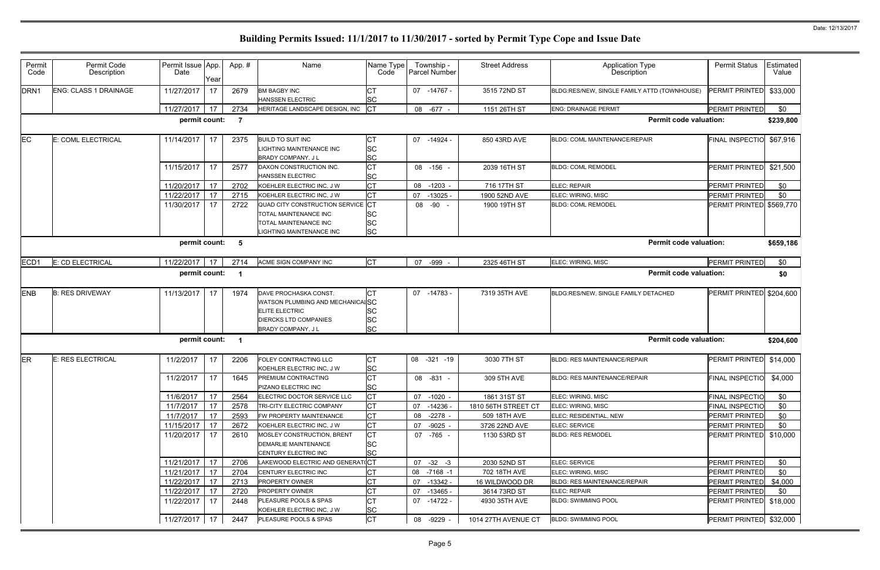| Permit<br>Code   | Permit Code<br>Description | Permit Issue App.<br>Date | Year | App. #                   | Name                                                           | Name Type<br>Code      | Township -<br>Parcel Number | <b>Street Address</b> | <b>Application Type</b><br>Description       | <b>Permit Status</b>     | Estimated<br>Value |
|------------------|----------------------------|---------------------------|------|--------------------------|----------------------------------------------------------------|------------------------|-----------------------------|-----------------------|----------------------------------------------|--------------------------|--------------------|
| DRN <sub>1</sub> | ENG: CLASS 1 DRAINAGE      | 11/27/2017                | 17   | 2679                     | <b>BM BAGBY INC</b><br><b>HANSSEN ELECTRIC</b>                 | IСТ<br><b>SC</b>       | 07<br>-14767 -              | 3515 72ND ST          | BLDG:RES/NEW, SINGLE FAMILY ATTD (TOWNHOUSE) | PERMIT PRINTED \$33,000  |                    |
|                  |                            | 11/27/2017                | 17   | 2734                     | HERITAGE LANDSCAPE DESIGN, INC                                 | $ _{\text{CT}}$        | 08 - 677 -                  | 1151 26TH ST          | <b>ENG: DRAINAGE PERMIT</b>                  | <b>PERMIT PRINTED</b>    | \$0                |
|                  |                            | permit count:             |      | $\overline{7}$           |                                                                |                        |                             |                       | <b>Permit code valuation:</b>                |                          | \$239,800          |
| EC               | E: COML ELECTRICAL         | 11/14/2017                | 17   | 2375                     | <b>BUILD TO SUIT INC</b>                                       | <b>CT</b>              | 07<br>-14924 -              | 850 43RD AVE          | BLDG: COML MAINTENANCE/REPAIR                | FINAL INSPECTIO \$67,916 |                    |
|                  |                            |                           |      |                          | <b>IGHTING MAINTENANCE INC.</b><br><b>BRADY COMPANY, JL</b>    | <b>SC</b><br><b>SC</b> |                             |                       |                                              |                          |                    |
|                  |                            | 11/15/2017                | 17   | 2577                     | DAXON CONSTRUCTION INC.<br><b>HANSSEN ELECTRIC</b>             | <b>CT</b><br><b>SC</b> | 08 -156 -                   | 2039 16TH ST          | <b>BLDG: COML REMODEL</b>                    | PERMIT PRINTED           | \$21,500           |
|                  |                            | 11/20/2017                | 17   | 2702                     | KOEHLER ELECTRIC INC, J W                                      | lст                    | 08<br>$-1203$               | 716 17TH ST           | ELEC: REPAIR                                 | PERMIT PRINTED           | \$0                |
|                  |                            | 11/22/2017                | 17   | 2715                     | KOEHLER ELECTRIC INC, J W                                      | <b>CT</b>              | 07<br>$-13025 -$            | 1900 52ND AVE         | ELEC: WIRING, MISC                           | PERMIT PRINTED           | \$0                |
|                  |                            | 11/30/2017                | 17   | 2722                     | <b>QUAD CITY CONSTRUCTION SERVICE</b><br>TOTAL MAINTENANCE INC | : Іст<br><b>SC</b>     | 08 -90                      | 1900 19TH ST          | <b>BLDG: COML REMODEL</b>                    | PERMIT PRINTED \$569,770 |                    |
|                  |                            |                           |      |                          | TOTAL MAINTENANCE INC                                          | <b>SC</b><br><b>SC</b> |                             |                       |                                              |                          |                    |
|                  |                            | permit count:             |      | - 5                      | IGHTING MAINTENANCE INC                                        |                        |                             |                       | <b>Permit code valuation:</b>                |                          | \$659,186          |
|                  |                            |                           |      |                          |                                                                |                        |                             |                       |                                              |                          |                    |
| ECD1             | E: CD ELECTRICAL           | 11/22/2017                | 17   | 2714                     | ACME SIGN COMPANY INC                                          | Iст                    | 07<br>-999                  | 2325 46TH ST          | ELEC: WIRING, MISC                           | PERMIT PRINTED           | \$0                |
|                  |                            | permit count:             |      | - 1                      |                                                                |                        |                             |                       | <b>Permit code valuation:</b>                |                          | \$0                |
| <b>ENB</b>       | <b>B: RES DRIVEWAY</b>     | 11/13/2017                | 17   | 1974                     | DAVE PROCHASKA CONST.                                          | Iст                    | 07<br>-14783 -              | 7319 35TH AVE         | BLDG:RES/NEW, SINGLE FAMILY DETACHED         | PERMIT PRINTED \$204,600 |                    |
|                  |                            |                           |      |                          | WATSON PLUMBING AND MECHANICALSC                               |                        |                             |                       |                                              |                          |                    |
|                  |                            |                           |      |                          | <b>ELITE ELECTRIC</b>                                          | <b>SC</b>              |                             |                       |                                              |                          |                    |
|                  |                            |                           |      |                          | <b>DIERCKS LTD COMPANIES</b>                                   | <b>SC</b>              |                             |                       |                                              |                          |                    |
|                  |                            |                           |      |                          | <b>BRADY COMPANY, JL</b>                                       | <b>SC</b>              |                             |                       |                                              |                          |                    |
|                  |                            | permit count:             |      | $\overline{\phantom{0}}$ |                                                                |                        |                             |                       | <b>Permit code valuation:</b>                |                          | \$204,600          |
| ER               | E: RES ELECTRICAL          | 11/2/2017                 | 17   | 2206                     | FOLEY CONTRACTING LLC                                          | <b>CT</b>              | 08<br>$-321 - 19$           | 3030 7TH ST           | BLDG: RES MAINTENANCE/REPAIR                 | PERMIT PRINTED \$14,000  |                    |
|                  |                            |                           |      |                          | KOEHLER ELECTRIC INC, J W                                      | <b>SC</b>              |                             |                       |                                              |                          |                    |
|                  |                            | 11/2/2017                 | 17   | 1645                     | PREMIUM CONTRACTING<br>PIZANO ELECTRIC INC                     | Iст<br><b>SC</b>       | 08 -831                     | 309 5TH AVE           | BLDG: RES MAINTENANCE/REPAIR                 | FINAL INSPECTIO          | \$4,000            |
|                  |                            | 11/6/2017                 | 17   | 2564                     | ELECTRIC DOCTOR SERVICE LLC                                    | Iст                    | 07 -1020 -                  | 1861 31ST ST          | ELEC: WIRING, MISC                           | <b>FINAL INSPECTIO</b>   | \$0                |
|                  |                            | 11/7/2017                 | 17   | 2578                     | TRI-CITY ELECTRIC COMPANY                                      | <b>CT</b>              | 07<br>-14236 -              | 1810 56TH STREET CT   | ELEC: WIRING, MISC                           | <b>FINAL INSPECTIO</b>   | \$0                |
|                  |                            | 11/7/2017                 | 17   | 2593                     | FW PROPERTY MAINTENANCE                                        | <b>CT</b>              | 08<br>-2278 -               | 509 18TH AVE          | ELEC: RESIDENTIAL, NEW                       | <b>PERMIT PRINTED</b>    | \$0                |
|                  |                            | 11/15/2017                | 17   | 2672                     | KOEHLER ELECTRIC INC, J W                                      | <b>CT</b>              | 07 -9025 -                  | 3726 22ND AVE         | ELEC: SERVICE                                | PERMIT PRINTED           | \$0                |
|                  |                            | 11/20/2017                | 17   | 2610                     | MOSLEY CONSTRUCTION, BRENT                                     | <b>CT</b>              | 07 -765 -                   | 1130 53RD ST          | <b>BLDG: RES REMODEL</b>                     | PERMIT PRINTED \$10,000  |                    |
|                  |                            |                           |      |                          | <b>DEMARLIE MAINTENANCE</b>                                    | <b>SC</b>              |                             |                       |                                              |                          |                    |
|                  |                            |                           |      |                          | CENTURY ELECTRIC INC                                           | <b>SC</b>              |                             |                       |                                              |                          |                    |
|                  |                            | 11/21/2017                | 17   | 2706                     | LAKEWOOD ELECTRIC AND GENERAT(CT                               |                        | $07 -32 -3$                 | 2030 52ND ST          | ELEC: SERVICE                                | PERMIT PRINTED           | \$0                |
|                  |                            | 11/21/2017                | 17   | 2704                     | CENTURY ELECTRIC INC                                           | <b>CT</b>              | 08 -7168 -1                 | 702 18TH AVE          | ELEC: WIRING, MISC                           | PERMIT PRINTED           | \$0                |
|                  |                            | 11/22/2017                | 17   | 2713                     | PROPERTY OWNER                                                 | <b>CT</b>              | $-13342 -$<br>07            | 16 WILDWOOD DR        | BLDG: RES MAINTENANCE/REPAIR                 | PERMIT PRINTED           | \$4,000            |
|                  |                            | 11/22/2017                | 17   | 2720                     | <b>PROPERTY OWNER</b>                                          | <b>CT</b>              | 07<br>-13465 -              | 3614 73RD ST          | <b>ELEC: REPAIR</b>                          | PERMIT PRINTED           | \$0                |
|                  |                            | 11/22/2017                | 17   | 2448                     | <b>PLEASURE POOLS &amp; SPAS</b><br>KOEHLER ELECTRIC INC, J W  | <b>CT</b><br><b>SC</b> | $07 - 14722 -$              | 4930 35TH AVE         | <b>BLDG: SWIMMING POOL</b>                   | PERMIT PRINTED \$18,000  |                    |
|                  |                            | 11/27/2017 17             |      | 2447                     | PLEASURE POOLS & SPAS                                          | Iст                    | 08 -9229 -                  | 1014 27TH AVENUE CT   | <b>BLDG: SWIMMING POOL</b>                   | PERMIT PRINTED \$32,000  |                    |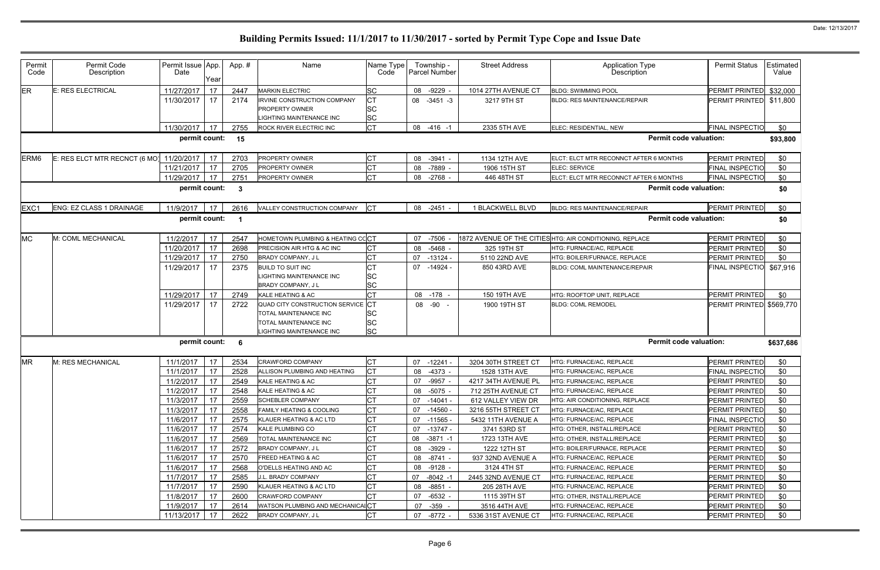| Permit<br>Code                                                 | Permit Code<br>Description    | Permit Issue App.<br>Date | Year     | App.#        | Name                                                                                                            | Name Type<br>Code                   | Township -<br>Parcel Number      | <b>Street Address</b>            | <b>Application Type</b><br>Description                   | <b>Permit Status</b>                    | Estimated<br>Value |
|----------------------------------------------------------------|-------------------------------|---------------------------|----------|--------------|-----------------------------------------------------------------------------------------------------------------|-------------------------------------|----------------------------------|----------------------------------|----------------------------------------------------------|-----------------------------------------|--------------------|
| <b>ER</b>                                                      | E: RES ELECTRICAL             | 11/27/2017                | 17       | 2447         | <b>MARKIN ELECTRIC</b>                                                                                          | <b>SC</b>                           | $-9229$<br>08                    | 1014 27TH AVENUE CT              | <b>BLDG: SWIMMING POOL</b>                               | PERMIT PRINTED \$32,000                 |                    |
|                                                                |                               | 11/30/2017                | 17       | 2174         | IRVINE CONSTRUCTION COMPANY<br><b>PROPERTY OWNER</b><br>IGHTING MAINTENANCE INC                                 | <b>CT</b><br><b>SC</b><br><b>SC</b> | 08<br>$-3451 - 3$                | 3217 9TH ST                      | <b>BLDG: RES MAINTENANCE/REPAIR</b>                      | PERMIT PRINTED \$11,800                 |                    |
|                                                                |                               | 11/30/2017                | 17       | 2755         | ROCK RIVER ELECTRIC INC                                                                                         | Iст                                 | 08 -416 -1                       | 2335 5TH AVE                     | ELEC: RESIDENTIAL, NEW                                   | <b>FINAL INSPECTIO</b>                  | \$0                |
|                                                                |                               | permit count: 15          |          |              |                                                                                                                 |                                     |                                  |                                  | <b>Permit code valuation:</b>                            |                                         | \$93,800           |
| ERM <sub>6</sub>                                               | E: RES ELCT MTR RECNCT (6 MO) | 11/20/2017                | 17       | 2703         | <b>PROPERTY OWNER</b>                                                                                           | <b>CT</b>                           | $-3941 -$<br>08                  | 1134 12TH AVE                    | ELCT: ELCT MTR RECONNCT AFTER 6 MONTHS                   | PERMIT PRINTED                          | \$0                |
|                                                                |                               | 11/21/2017                | 17       | 2705         | <b>PROPERTY OWNER</b>                                                                                           | <b>CT</b>                           | $-7889$<br>08                    | 1906 15TH ST                     | ELEC: SERVICE                                            | <b>FINAL INSPECTIO</b>                  | \$0                |
|                                                                |                               | 11/29/2017                | 17       | 2751         | <b>PROPERTY OWNER</b>                                                                                           | Iст                                 | 08<br>$-2768$ -                  | 446 48TH ST                      | ELCT: ELCT MTR RECONNCT AFTER 6 MONTHS                   | <b>FINAL INSPECTIO</b>                  | \$0                |
| <b>Permit code valuation:</b><br>permit count:<br>$\mathbf{3}$ |                               |                           |          |              |                                                                                                                 |                                     |                                  |                                  |                                                          |                                         | \$0                |
| EXC1                                                           | ENG: EZ CLASS 1 DRAINAGE      | 11/9/2017                 | 17       | 2616         | VALLEY CONSTRUCTION COMPANY                                                                                     | <b>I</b> CT                         | 08 -2451 -                       | 1 BLACKWELL BLVD                 | <b>BLDG: RES MAINTENANCE/REPAIR</b>                      | PERMIT PRINTED                          | \$0                |
|                                                                |                               | permit count:             |          |              |                                                                                                                 |                                     |                                  |                                  | <b>Permit code valuation:</b>                            |                                         | \$0                |
| <b>MC</b>                                                      | M: COML MECHANICAL            | 11/2/2017                 | 17       | 2547         | HOMETOWN PLUMBING & HEATING CC <mark>I</mark> CT                                                                |                                     | $-7506$<br>07                    |                                  | 1872 AVENUE OF THE CITIES HTG: AIR CONDITIONING, REPLACE | PERMIT PRINTED                          | \$0                |
|                                                                |                               | 11/20/2017                | 17       | 2698         | PRECISION AIR HTG & AC INC                                                                                      | <b>CT</b>                           | $-5468$<br>08                    | 325 19TH ST                      | HTG: FURNACE/AC, REPLACE                                 | PERMIT PRINTED                          | \$0                |
|                                                                |                               | 11/29/2017                | 17       | 2750         | <b>BRADY COMPANY, JL</b>                                                                                        | <b>CT</b>                           | 07<br>$-13124$                   | 5110 22ND AVE                    | HTG: BOILER/FURNACE, REPLACE                             | PERMIT PRINTED                          | \$0                |
|                                                                |                               | 11/29/2017                | 17       | 2375         | <b>BUILD TO SUIT INC</b><br>LIGHTING MAINTENANCE INC<br>BRADY COMPANY, J L                                      | <b>CT</b><br><b>SC</b><br><b>SC</b> | 07<br>-14924 -                   | 850 43RD AVE                     | BLDG: COML MAINTENANCE/REPAIR                            | FINAL INSPECTIO \$67,916                |                    |
|                                                                |                               | 11/29/2017                | 17       | 2749         | KALE HEATING & AC                                                                                               | <b>CT</b>                           | $-178$<br>08                     | 150 19TH AVE                     | HTG: ROOFTOP UNIT, REPLACE                               | PERMIT PRINTED                          | \$0                |
|                                                                |                               | 11/29/2017                | 17       | 2722         | QUAD CITY CONSTRUCTION SERVICE CT<br>TOTAL MAINTENANCE INC<br>TOTAL MAINTENANCE INC<br>LIGHTING MAINTENANCE INC | <b>SC</b><br><b>SC</b><br><b>SC</b> | 08 -90<br>$\sim$                 | 1900 19TH ST                     | <b>BLDG: COML REMODEL</b>                                | PERMIT PRINTED \$569,770                |                    |
|                                                                |                               | permit count:             |          | - 6          |                                                                                                                 |                                     |                                  |                                  | <b>Permit code valuation:</b>                            |                                         | \$637,686          |
| <b>MR</b>                                                      | M: RES MECHANICAL             | 11/1/2017                 | 17       | 2534         | CRAWFORD COMPANY                                                                                                | <b>CT</b>                           | 07<br>$-12241$                   | 3204 30TH STREET CT              | HTG: FURNACE/AC, REPLACE                                 | PERMIT PRINTED                          | \$0                |
|                                                                |                               | 11/1/2017                 | 17       | 2528         | ALLISON PLUMBING AND HEATING                                                                                    | <b>CT</b>                           | 08 -4373 -                       | 1528 13TH AVE                    | HTG: FURNACE/AC, REPLACE                                 | <b>FINAL INSPECTIO</b>                  | \$0                |
|                                                                |                               | 11/2/2017 17              |          | 2549         | KALE HEATING & AC                                                                                               | <b>CT</b>                           | 07 -9957 -                       | 4217 34TH AVENUE PL              | HTG: FURNACE/AC, REPLACE                                 | PERMIT PRINTED                          | \$0                |
|                                                                |                               | 11/2/2017                 | 17       | 2548         | KALE HEATING & AC                                                                                               | <b>CT</b>                           | 08<br>-5075 -                    | 712 25TH AVENUE CT               | HTG: FURNACE/AC, REPLACE                                 | PERMIT PRINTED                          | \$0                |
|                                                                |                               | 11/3/2017                 | 17       | 2559         | <b>SCHEBLER COMPANY</b>                                                                                         | <b>CT</b>                           | 07<br>$-14041 -$                 | 612 VALLEY VIEW DR               | HTG: AIR CONDITIONING, REPLACE                           | PERMIT PRINTED                          | \$0                |
|                                                                |                               | 11/3/2017                 | 17       | 2558         | <b>FAMILY HEATING &amp; COOLING</b>                                                                             | <b>CT</b>                           | 07<br>-14560 -                   | 3216 55TH STREET CT              | HTG: FURNACE/AC, REPLACE                                 | PERMIT PRINTED                          | \$0                |
|                                                                |                               | 11/6/2017                 | 17       | 2575         | KLAUER HEATING & AC LTD                                                                                         | <b>CT</b>                           | 07<br>-11565 -                   | 5432 11TH AVENUE A               | HTG: FURNACE/AC, REPLACE                                 | <b>FINAL INSPECTIO</b>                  | \$0                |
|                                                                |                               | 11/6/2017                 | 17       | 2574         | KALE PLUMBING CO                                                                                                | <b>CT</b>                           | -13747 -<br>07                   | 3741 53RD ST                     | HTG: OTHER, INSTALL/REPLACE                              | PERMIT PRINTED                          | \$0                |
|                                                                |                               | 11/6/2017<br>11/6/2017    | 17       | 2569         | TOTAL MAINTENANCE INC                                                                                           | <b>CT</b><br><b>CT</b>              | $-3871 - 1$<br>08                | 1723 13TH AVE                    | HTG: OTHER, INSTALL/REPLACE                              | <b>PERMIT PRINTED</b><br>PERMIT PRINTED | \$0                |
|                                                                |                               | 11/6/2017                 | 17       | 2572<br>2570 | BRADY COMPANY, J L<br><b>FREED HEATING &amp; AC</b>                                                             | <b>CT</b>                           | $-3929 -$<br>08<br>-8741 -<br>08 | 1222 12TH ST                     | HTG: BOILER/FURNACE, REPLACE<br>HTG: FURNACE/AC, REPLACE | <b>PERMIT PRINTED</b>                   | \$0                |
|                                                                |                               | 11/6/2017                 | 17<br>17 | 2568         | O'DELLS HEATING AND AC                                                                                          | <b>CT</b>                           | $-9128 -$<br>08                  | 937 32ND AVENUE A<br>3124 4TH ST | HTG: FURNACE/AC, REPLACE                                 | PERMIT PRINTED                          | \$0<br>\$0         |
|                                                                |                               | 11/7/2017                 | 17       | 2585         | J.L. BRADY COMPANY                                                                                              | <b>CT</b>                           | 07<br>$-8042 - 1$                | 2445 32ND AVENUE CT              | HTG: FURNACE/AC, REPLACE                                 | <b>PERMIT PRINTED</b>                   | \$0                |
|                                                                |                               | 11/7/2017                 | 17       | 2590         | KLAUER HEATING & AC LTD                                                                                         | <b>CT</b>                           | $-8851 -$<br>08                  | 205 28TH AVE                     | HTG: FURNACE/AC, REPLACE                                 | <b>PERMIT PRINTED</b>                   | \$0                |
|                                                                |                               | 11/8/2017                 | 17       | 2600         | <b>CRAWFORD COMPANY</b>                                                                                         | <b>CT</b>                           | $-6532 -$<br>07                  | 1115 39TH ST                     | HTG: OTHER, INSTALL/REPLACE                              | PERMIT PRINTED                          | \$0                |
|                                                                |                               | 11/9/2017                 | 17       | 2614         | WATSON PLUMBING AND MECHANICAICT                                                                                |                                     | 07<br>$-359 -$                   | 3516 44TH AVE                    | HTG: FURNACE/AC, REPLACE                                 | <b>PERMIT PRINTED</b>                   | \$0                |
|                                                                |                               | 11/13/2017                | 17       | 2622         | BRADY COMPANY, J L                                                                                              | Iст                                 | 07 -8772 -                       | 5336 31ST AVENUE CT              | HTG: FURNACE/AC, REPLACE                                 | PERMIT PRINTED                          | \$0                |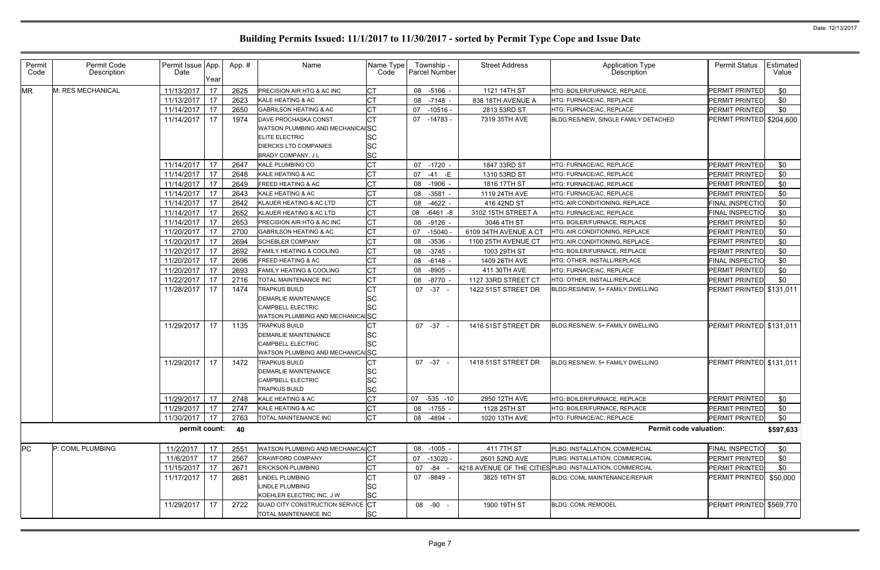| Permit<br>Code | Permit Code<br>Description | Permit Issue App.<br>Date | Year | App.# | Name                                                                                                                                     | Name Type<br>Code                                | Township -<br><b>Parcel Number</b> | <b>Street Address</b> | Application Type<br>Description                          | <b>Permit Status</b>     | Estimated<br>Value |
|----------------|----------------------------|---------------------------|------|-------|------------------------------------------------------------------------------------------------------------------------------------------|--------------------------------------------------|------------------------------------|-----------------------|----------------------------------------------------------|--------------------------|--------------------|
| <b>MR</b>      | M: RES MECHANICAL          | 11/13/2017                | 17   | 2625  | PRECISION AIR HTG & AC INC                                                                                                               | <b>CT</b>                                        | 08 -5166 -                         | 1121 14TH ST          | HTG: BOILER/FURNACE, REPLACE                             | PERMIT PRINTED           | \$0                |
|                |                            | 11/13/2017                | 17   | 2623  | KALE HEATING & AC                                                                                                                        | <b>CT</b>                                        | 08<br>$-7148 -$                    | 838 18TH AVENUE A     | HTG: FURNACE/AC, REPLACE                                 | PERMIT PRINTED           | \$0                |
|                |                            | 11/14/2017                | 17   | 2650  | <b>GABRILSON HEATING &amp; AC</b>                                                                                                        | <b>CT</b>                                        | 07<br>$-10516 -$                   | 2813 53RD ST          | HTG: FURNACE/AC, REPLACE                                 | <b>PERMIT PRINTED</b>    | \$0                |
|                |                            | 11/14/2017                | 17   | 1974  | DAVE PROCHASKA CONST.<br>WATSON PLUMBING AND MECHANICALSC<br><b>ELITE ELECTRIC</b><br><b>DIERCKS LTD COMPANIES</b><br>BRADY COMPANY, J L | SC<br><b>SC</b><br><b>SC</b>                     | 07 -14783 -                        | 7319 35TH AVE         | BLDG:RES/NEW, SINGLE FAMILY DETACHED                     | PERMIT PRINTED \$204,600 |                    |
|                |                            | 11/14/2017                | 17   | 2647  | <b>KALE PLUMBING CO</b>                                                                                                                  | <b>CT</b>                                        | 07 -1720 -                         | 1847 33RD ST          | HTG: FURNACE/AC, REPLACE                                 | <b>PERMIT PRINTED</b>    | \$0                |
|                |                            | 11/14/2017                | 17   | 2648  | KALE HEATING & AC                                                                                                                        | <b>CT</b>                                        | 07<br>$-41 - E$                    | 1310 53RD ST          | HTG: FURNACE/AC, REPLACE                                 | PERMIT PRINTED           | \$0                |
|                |                            | 11/14/2017                | 17   | 2649  | <b>FREED HEATING &amp; AC</b>                                                                                                            | <b>CT</b>                                        | 08<br>$-1906 -$                    | 1816 17TH ST          | HTG: FURNACE/AC, REPLACE                                 | PERMIT PRINTED           | \$0                |
|                |                            | 11/14/2017                | 17   | 2643  | KALE HEATING & AC                                                                                                                        | СT                                               | 08<br>$-3581 -$                    | 1119 24TH AVE         | HTG: FURNACE/AC, REPLACE                                 | PERMIT PRINTED           | \$0                |
|                |                            | 11/14/2017                | 17   | 2642  | KLAUER HEATING & AC LTD                                                                                                                  | <b>CT</b>                                        | 08<br>$-4622 -$                    | 416 42ND ST           | HTG: AIR CONDITIONING, REPLACE                           | <b>FINAL INSPECTIO</b>   | \$0                |
|                |                            | 11/14/2017                | 17   | 2652  | KLAUER HEATING & AC LTD                                                                                                                  | <b>CT</b>                                        | 08<br>$-6461 - 8$                  | 3102 15TH STREET A    | HTG: FURNACE/AC, REPLACE                                 | <b>FINAL INSPECTIO</b>   | \$0                |
|                |                            | 11/14/2017                | 17   | 2653  | <b>PRECISION AIR HTG &amp; AC INC</b>                                                                                                    | <b>CT</b>                                        | 08<br>$-9126 -$                    | 3046 4TH ST           | HTG: BOILER/FURNACE, REPLACE                             | PERMIT PRINTED           | \$0                |
|                |                            | 11/20/2017                | 17   | 2700  | <b>GABRILSON HEATING &amp; AC</b>                                                                                                        | <b>CT</b>                                        | $-15040 -$<br>07                   | 6109 34TH AVENUE A CT | HTG: AIR CONDITIONING, REPLACE                           | PERMIT PRINTED           | \$0                |
|                |                            | 11/20/2017                | 17   | 2694  | <b>SCHEBLER COMPANY</b>                                                                                                                  | <b>CT</b>                                        | 08<br>$-3536$                      | 1100 25TH AVENUE CT   | HTG: AIR CONDITIONING, REPLACE                           | <b>PERMIT PRINTED</b>    | \$0                |
|                |                            | 11/20/2017                | 17   | 2692  | <b>FAMILY HEATING &amp; COOLING</b>                                                                                                      | <b>CT</b>                                        | 08<br>$-3745$                      | 1003 29TH ST          | HTG: BOILER/FURNACE, REPLACE                             | PERMIT PRINTED           | \$0                |
|                |                            | 11/20/2017                | 17   | 2696  | FREED HEATING & AC                                                                                                                       | СT                                               | 08<br>$-6148 -$                    | 1409 26TH AVE         | HTG: OTHER, INSTALL/REPLACE                              | <b>FINAL INSPECTIO</b>   | \$0                |
|                |                            | 11/20/2017                | 17   | 2693  | <b>FAMILY HEATING &amp; COOLING</b>                                                                                                      | <b>CT</b>                                        | $-8905 -$<br>08                    | 411 30TH AVE          | HTG: FURNACE/AC, REPLACE                                 | PERMIT PRINTED           | \$0                |
|                |                            | 11/22/2017                | 17   | 2716  | TOTAL MAINTENANCE INC                                                                                                                    | <b>CT</b>                                        | 08<br>$-8770$                      | 1127 33RD STREET CT   | HTG: OTHER, INSTALL/REPLACE                              | PERMIT PRINTED           | \$0                |
|                |                            | 11/28/2017                | 17   | 1474  | <b>TRAPKUS BUILD</b><br><b>DEMARLIE MAINTENANCE</b><br><b>CAMPBELL ELECTRIC</b><br>WATSON PLUMBING AND MECHANICALSC                      | CT<br><b>SC</b><br>SC                            | $07 - 37 -$                        | 1422 51ST STREET DR   | BLDG:RES/NEW, 5+ FAMILY DWELLING                         | PERMIT PRINTED \$131,011 |                    |
|                |                            | 11/29/2017                | 17   | 1135  | TRAPKUS BUILD<br><b>DEMARLIE MAINTENANCE</b><br><b>CAMPBELL ELECTRIC</b><br>WATSON PLUMBING AND MECHANICALSC                             | SC<br><b>SC</b>                                  | $07 - 37 -$                        | 1416 51ST STREET DR   | BLDG:RES/NEW, 5+ FAMILY DWELLING                         | PERMIT PRINTED \$131,011 |                    |
|                |                            | 11/29/2017                | 17   | 1472  | <b>TRAPKUS BUILD</b><br><b>DEMARLIE MAINTENANCE</b><br><b>CAMPBELL ELECTRIC</b><br>TRAPKUS BUILD                                         | <b>CT</b><br><b>SC</b><br><b>SC</b><br><b>SC</b> | $07 - 37 -$                        | 1418 51ST STREET DR   | BLDG:RES/NEW, 5+ FAMILY DWELLING                         | PERMIT PRINTED \$131,011 |                    |
|                |                            | 11/29/2017                | 17   | 2748  | KALE HEATING & AC                                                                                                                        | <b>CT</b>                                        | 07<br>$-535 - 10$                  | 2950 12TH AVE         | HTG: BOILER/FURNACE, REPLACE                             | <b>PERMIT PRINTED</b>    | \$0                |
|                |                            | 11/29/2017                | 17   | 2747  | KALE HEATING & AC                                                                                                                        | <b>CT</b>                                        | 08<br>-1755 -                      | 1128 25TH ST          | HTG: BOILER/FURNACE, REPLACE                             | PERMIT PRINTED           | \$0                |
|                |                            | 11/30/2017                | 17   | 2763  | TOTAL MAINTENANCE INC                                                                                                                    | <b>CT</b>                                        | -4894 -<br>08                      | 1020 13TH AVE         | HTG: FURNACE/AC, REPLACE                                 | <b>PERMIT PRINTED</b>    | \$0                |
|                |                            | permit count:             |      | 40    |                                                                                                                                          |                                                  |                                    |                       | <b>Permit code valuation:</b>                            |                          | \$597,633          |
| PC             | P: COML PLUMBING           | 11/2/2017                 | 17   | 2551  | WATSON PLUMBING AND MECHANICAICT                                                                                                         |                                                  | 08 -1005 -                         | 411 7TH ST            | PLBG: INSTALLATION, COMMERCIAL                           | <b>FINAL INSPECTIO</b>   | \$0                |
|                |                            | 11/6/2017                 | 17   | 2567  | <b>CRAWFORD COMPANY</b>                                                                                                                  | <b>CT</b>                                        | 07<br>$-13020 -$                   | 2601 52ND AVE         | <b>PLBG: INSTALLATION, COMMERCIAL</b>                    | PERMIT PRINTED           | \$0                |
|                |                            | 11/15/2017                | 17   | 2671  | <b>ERICKSON PLUMBING</b>                                                                                                                 | <b>CT</b>                                        | -84<br>07                          |                       | 4218 AVENUE OF THE CITIES PLBG: INSTALLATION, COMMERCIAL | PERMIT PRINTED           | \$0                |
|                |                            | 11/17/2017                | 17   | 2681  | LINDEL PLUMBING<br><b>LINDLE PLUMBING</b><br>KOEHLER ELECTRIC INC, J W                                                                   | <b>CT</b><br><b>SC</b><br><b>SC</b>              | 07 -9849 -                         | 3825 16TH ST          | BLDG: COML MAINTENANCE/REPAIR                            | PERMIT PRINTED \$50,000  |                    |
|                |                            | 11/29/2017                | 17   | 2722  | QUAD CITY CONSTRUCTION SERVICE CT<br>TOTAL MAINTENANCE INC                                                                               | <b>SC</b>                                        | 08 -90                             | 1900 19TH ST          | <b>BLDG: COML REMODEL</b>                                | PERMIT PRINTED \$569,770 |                    |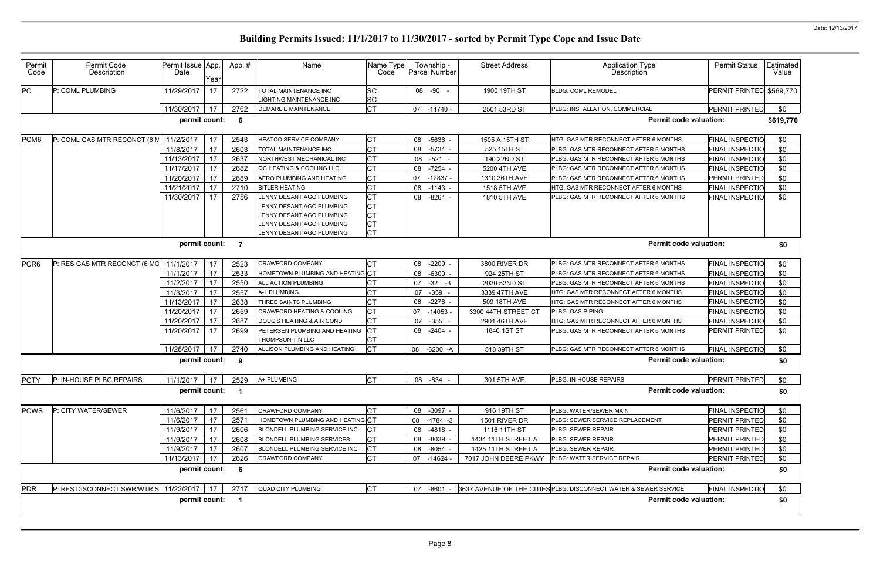| Permit<br>Code   | Permit Code<br>Description                  | Permit Issue App.<br>Date                            | Year | App.#           | Name                                                                                                             | Name Type<br>Code                                | Township -<br>Parcel Number | <b>Street Address</b> | Application Type<br>Description                                  | <b>Permit Status</b>     | Estimated<br>Value |
|------------------|---------------------------------------------|------------------------------------------------------|------|-----------------|------------------------------------------------------------------------------------------------------------------|--------------------------------------------------|-----------------------------|-----------------------|------------------------------------------------------------------|--------------------------|--------------------|
| PC               | P: COML PLUMBING                            | 11/29/2017                                           | 17   | 2722            | TOTAL MAINTENANCE INC<br>LIGHTING MAINTENANCE INC                                                                | <b>SC</b><br><b>SC</b>                           | 08 -90 -                    | 1900 19TH ST          | <b>BLDG: COML REMODEL</b>                                        | PERMIT PRINTED \$569,770 |                    |
|                  |                                             | 11/30/2017                                           | 17   | 2762            | <b>DEMARLIE MAINTENANCE</b>                                                                                      | <b>CT</b>                                        | $-14740 -$<br>07            | 2501 53RD ST          | PLBG: INSTALLATION, COMMERCIAL                                   | <b>PERMIT PRINTED</b>    | \$0                |
|                  |                                             | permit count:                                        |      | $6\overline{6}$ |                                                                                                                  |                                                  |                             |                       | <b>Permit code valuation:</b>                                    |                          | \$619,770          |
| PCM <sub>6</sub> | P: COML GAS MTR RECONCT (6 M                | 11/2/2017                                            | 17   | 2543            | HEATCO SERVICE COMPANY                                                                                           | <b>CT</b>                                        | 08<br>$-5636 -$             | 1505 A 15TH ST        | HTG: GAS MTR RECONNECT AFTER 6 MONTHS                            | <b>FINAL INSPECTIO</b>   | \$0                |
|                  |                                             | 11/8/2017                                            | 17   | 2603            | TOTAL MAINTENANCE INC                                                                                            | lст                                              | 08<br>$-5734$ -             | 525 15TH ST           | PLBG: GAS MTR RECONNECT AFTER 6 MONTHS                           | <b>FINAL INSPECTIO</b>   | \$0                |
|                  |                                             | 11/13/2017                                           | 17   | 2637            | NORTHWEST MECHANICAL INC                                                                                         | <b>CT</b>                                        | 08<br>$-521$                | 190 22ND ST           | PLBG: GAS MTR RECONNECT AFTER 6 MONTHS                           | <b>FINAL INSPECTIO</b>   | \$0                |
|                  |                                             | 11/17/2017                                           | 17   | 2682            | QC HEATING & COOLING LLC                                                                                         | <b>CT</b>                                        | 08<br>$-7254$               | 5200 4TH AVE          | PLBG: GAS MTR RECONNECT AFTER 6 MONTHS                           | <b>FINAL INSPECTIO</b>   | \$0                |
|                  |                                             | 11/20/2017                                           | 17   | 2689            | AERO PLUMBING AND HEATING                                                                                        | <b>CT</b>                                        | 07<br>$-12837$              | 1310 36TH AVE         | PLBG: GAS MTR RECONNECT AFTER 6 MONTHS                           | PERMIT PRINTED           | \$0                |
|                  |                                             | 11/21/2017                                           | 17   | 2710            | <b>BITLER HEATING</b>                                                                                            | СT                                               | 08<br>$-1143 -$             | 1518 5TH AVE          | HTG: GAS MTR RECONNECT AFTER 6 MONTHS                            | <b>FINAL INSPECTIO</b>   | \$0                |
|                  |                                             | 11/30/2017                                           | 17   | 2756            | LENNY DESANTIAGO PLUMBING<br>LENNY DESANTIAGO PLUMBING<br>LENNY DESANTIAGO PLUMBING<br>LENNY DESANTIAGO PLUMBING | <b>CT</b><br><b>CT</b><br><b>CT</b><br><b>CT</b> | 08<br>$-8264 -$             | 1810 5TH AVE          | PLBG: GAS MTR RECONNECT AFTER 6 MONTHS                           | <b>FINAL INSPECTIO</b>   | \$0                |
|                  |                                             |                                                      |      |                 | LENNY DESANTIAGO PLUMBING                                                                                        | lст                                              |                             |                       |                                                                  |                          |                    |
|                  |                                             | <b>Permit code valuation:</b><br>permit count:<br>-7 |      |                 |                                                                                                                  |                                                  |                             |                       | \$0                                                              |                          |                    |
|                  |                                             |                                                      |      |                 |                                                                                                                  |                                                  |                             |                       |                                                                  |                          |                    |
| PCR <sub>6</sub> | P: RES GAS MTR RECONCT (6 MC                | 11/1/2017                                            | 17   | 2523            | <b>CRAWFORD COMPANY</b>                                                                                          | <b>CT</b>                                        | $-2209$<br>08               | 3800 RIVER DR         | PLBG: GAS MTR RECONNECT AFTER 6 MONTHS                           | <b>FINAL INSPECTIO</b>   | \$0                |
|                  |                                             | 11/1/2017                                            | 17   | 2533            | HOMETOWN PLUMBING AND HEATING CT                                                                                 |                                                  | 08<br>$-6300 -$             | 924 25TH ST           | PLBG: GAS MTR RECONNECT AFTER 6 MONTHS                           | <b>FINAL INSPECTIO</b>   | \$0                |
|                  |                                             | 11/2/2017                                            | 17   | 2550            | ALL ACTION PLUMBING                                                                                              |                                                  | 07<br>$-32 - 3$             | 2030 52ND ST          | PLBG: GAS MTR RECONNECT AFTER 6 MONTHS                           | <b>FINAL INSPECTIO</b>   | \$0                |
|                  |                                             | 11/3/2017                                            | 17   | 2557            | A-1 PLUMBING                                                                                                     | СT                                               | 07<br>$-359$                | 3339 47TH AVE         | HTG: GAS MTR RECONNECT AFTER 6 MONTHS                            | <b>FINAL INSPECTIO</b>   | \$0                |
|                  |                                             | 11/13/2017                                           | 17   | 2638            | THREE SAINTS PLUMBING                                                                                            | <b>CT</b>                                        | 08<br>$-2278$ -             | 509 18TH AVE          | HTG: GAS MTR RECONNECT AFTER 6 MONTHS                            | <b>FINAL INSPECTIO</b>   | \$0                |
|                  |                                             | 11/20/2017                                           | 17   | 2659            | <b>CRAWFORD HEATING &amp; COOLING</b>                                                                            | <b>CT</b>                                        | 07<br>$-14053$              | 3300 44TH STREET CT   | <b>PLBG: GAS PIPING</b>                                          | <b>FINAL INSPECTIO</b>   | \$0                |
|                  |                                             | 11/20/2017                                           | 17   | 2687            | DOUG'S HEATING & AIR COND                                                                                        | <b>CT</b>                                        | $-355 -$<br>07              | 2901 46TH AVE         | HTG: GAS MTR RECONNECT AFTER 6 MONTHS                            | <b>FINAL INSPECTIO</b>   | \$0                |
|                  |                                             | 11/20/2017                                           | 17   | 2699            | PETERSEN PLUMBING AND HEATING<br><b>THOMPSON TIN LLC</b>                                                         | $ _{CT}$<br><b>CT</b>                            | 08<br>-2404 -               | 1846 1ST ST           | PLBG: GAS MTR RECONNECT AFTER 6 MONTHS                           | PERMIT PRINTED           | \$0                |
|                  |                                             | 11/28/2017                                           | 17   | 2740            | ALLISON PLUMBING AND HEATING                                                                                     | <b>ICT</b>                                       | 08<br>$-6200 - A$           | 518 39TH ST           | PLBG: GAS MTR RECONNECT AFTER 6 MONTHS                           | <b>FINAL INSPECTIO</b>   | \$0                |
|                  |                                             | permit count:                                        |      | 9               |                                                                                                                  |                                                  |                             |                       | <b>Permit code valuation:</b>                                    |                          | \$0                |
|                  |                                             |                                                      |      |                 |                                                                                                                  |                                                  |                             |                       |                                                                  |                          |                    |
|                  | PCTY P: IN-HOUSE PLBG REPAIRS               | 11/1/2017 17 2529 A+ PLUMBING                        |      |                 |                                                                                                                  | <b>CT</b>                                        | 08 - 834 -                  | 301 5TH AVE           | PLBG: IN-HOUSE REPAIRS                                           | PERMIT PRINTED           | \$0                |
|                  |                                             | permit count: 1                                      |      |                 |                                                                                                                  |                                                  |                             |                       | <b>Permit code valuation:</b>                                    |                          | \$0                |
| <b>PCWS</b>      | P: CITY WATER/SEWER                         | 11/6/2017                                            | 17   | 2561            | CRAWFORD COMPANY                                                                                                 | <b>CT</b>                                        | $-3097 -$<br>08             | 916 19TH ST           | PLBG: WATER/SEWER MAIN                                           | <b>FINAL INSPECTIO</b>   | \$0                |
|                  |                                             | 11/6/2017                                            | 17   | 2571            | HOMETOWN PLUMBING AND HEATING CT                                                                                 |                                                  | $-4784 - 3$<br>08           | 1501 RIVER DR         | PLBG: SEWER SERVICE REPLACEMENT                                  | PERMIT PRINTED           | \$0                |
|                  |                                             | 11/9/2017                                            | 17   | 2606            | BLONDELL PLUMBING SERVICE INC                                                                                    | ICT                                              | 08<br>-4818 -               | 1116 11TH ST          | PLBG: SEWER REPAIR                                               | PERMIT PRINTED           | \$0                |
|                  |                                             | 11/9/2017                                            | 17   | 2608            | <b>BLONDELL PLUMBING SERVICES</b>                                                                                | <b>CT</b>                                        | 08<br>$-8039 -$             | 1434 11TH STREET A    | PLBG: SEWER REPAIR                                               | PERMIT PRINTED           | \$0                |
|                  |                                             | 11/9/2017                                            | 17   | 2607            | BLONDELL PLUMBING SERVICE INC                                                                                    | Iст                                              | 08<br>$-8054 -$             | 1425 11TH STREET A    | PLBG: SEWER REPAIR                                               | <b>PERMIT PRINTED</b>    | \$0                |
|                  |                                             | 11/13/2017                                           | 17   | 2626            | CRAWFORD COMPANY                                                                                                 | <b>CT</b>                                        | 07<br>-14624                | 7017 JOHN DEERE PKWY  | PLBG: WATER SERVICE REPAIR                                       | PERMIT PRINTED           | \$0                |
|                  |                                             | permit count: 6                                      |      |                 |                                                                                                                  |                                                  |                             |                       | <b>Permit code valuation:</b>                                    |                          | \$0                |
| PDR              | P: RES DISCONNECT SWR/WTR S 11/22/2017   17 |                                                      |      | 2717            | <b>QUAD CITY PLUMBING</b>                                                                                        | <b>CT</b>                                        | -8601 -<br>07               |                       | 3637 AVENUE OF THE CITIES PLBG: DISCONNECT WATER & SEWER SERVICE | <b>FINAL INSPECTIO</b>   | \$0                |
|                  |                                             | permit count: 1                                      |      |                 |                                                                                                                  |                                                  |                             |                       | <b>Permit code valuation:</b>                                    |                          | \$0                |
|                  |                                             |                                                      |      |                 |                                                                                                                  |                                                  |                             |                       |                                                                  |                          |                    |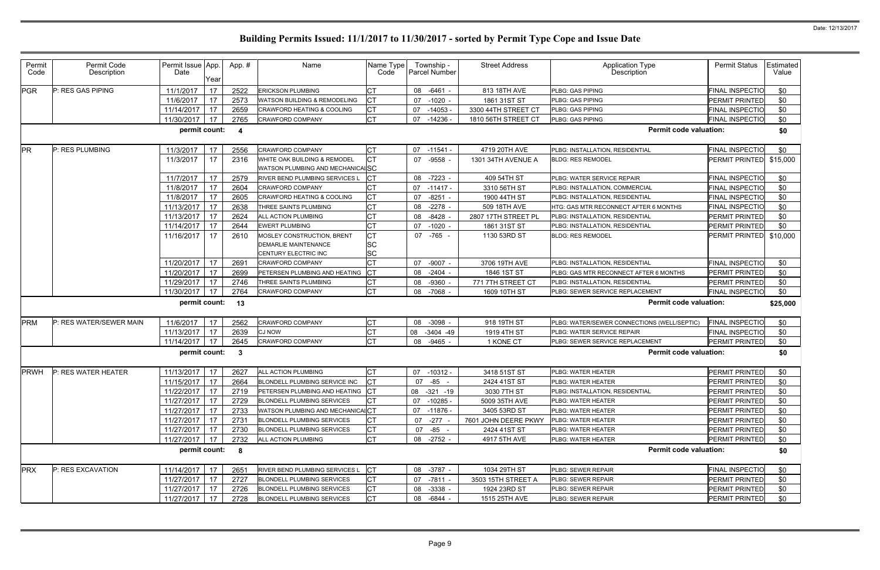| Permit<br>Code | Permit Code<br>Description | Permit Issue App.<br>Date | Year     | App. #       | Name                                                             | Name Type<br>Code       | Township -<br>Parcel Number | <b>Street Address</b>             | Application Type<br>Description                                    | <b>Permit Status</b>              | Estimated<br>Value |
|----------------|----------------------------|---------------------------|----------|--------------|------------------------------------------------------------------|-------------------------|-----------------------------|-----------------------------------|--------------------------------------------------------------------|-----------------------------------|--------------------|
| <b>PGR</b>     | P: RES GAS PIPING          | 11/1/2017                 | 17       | 2522         | <b>ERICKSON PLUMBING</b>                                         | <b>CT</b>               | $-6461$<br>08               | 813 18TH AVE                      | PLBG: GAS PIPING                                                   | FINAL INSPECTIO                   | \$0                |
|                |                            | 11/6/2017                 | 17       | 2573         | WATSON BUILDING & REMODELING                                     | СT                      | 07<br>$-1020$               | 1861 31ST ST                      | PLBG: GAS PIPING                                                   | PERMIT PRINTED                    | \$0                |
|                |                            | 11/14/2017                | 17       | 2659         | CRAWFORD HEATING & COOLING                                       | <b>CT</b>               | 07<br>$-14053$              | 3300 44TH STREET CT               | PLBG: GAS PIPING                                                   | <b>FINAL INSPECTIO</b>            | \$0                |
|                |                            | 11/30/2017                | 17       | 2765         | CRAWFORD COMPANY                                                 | СT                      | $-14236$<br>07              | 1810 56TH STREET CT               | PLBG: GAS PIPING                                                   | <b>FINAL INSPECTIO</b>            | \$0                |
|                |                            | permit count:             |          | -4           |                                                                  |                         |                             |                                   | <b>Permit code valuation:</b>                                      |                                   | \$0                |
| <b>PR</b>      | P: RES PLUMBING            | 11/3/2017                 | 17       | 2556         | <b>CRAWFORD COMPANY</b>                                          | СT                      | 07 -11541 -                 | 4719 20TH AVE                     | PLBG: INSTALLATION, RESIDENTIAL                                    | <b>FINAL INSPECTIO</b>            | \$0                |
|                |                            | 11/3/2017                 | 17       | 2316         | WHITE OAK BUILDING & REMODEL<br>WATSON PLUMBING AND MECHANICALSC | <b>CT</b>               | 07<br>-9558                 | 1301 34TH AVENUE A                | <b>BLDG: RES REMODEL</b>                                           | PERMIT PRINTED \$15,000           |                    |
|                |                            | 11/7/2017                 | 17       | 2579         | RIVER BEND PLUMBING SERVICES L                                   |                         | 08<br>$-7223 -$             | 409 54TH ST                       | PLBG: WATER SERVICE REPAIR                                         | <b>FINAL INSPECTIO</b>            | \$0                |
|                |                            | 11/8/2017                 | 17       | 2604         | <b>CRAWFORD COMPANY</b>                                          |                         | 07<br>-11417 -              | 3310 56TH ST                      | PLBG: INSTALLATION, COMMERCIAL                                     | FINAL INSPECTIO                   | \$0                |
|                |                            | 11/8/2017                 | 17       | 2605         | CRAWFORD HEATING & COOLING                                       | СT                      | 07<br>$-8251$               | 1900 44TH ST                      | PLBG: INSTALLATION, RESIDENTIAL                                    | FINAL INSPECTIO                   | \$0                |
|                |                            | 11/13/2017                | 17       | 2638         | THREE SAINTS PLUMBING                                            | СT                      | 08<br>$-2278$               | 509 18TH AVE                      | HTG: GAS MTR RECONNECT AFTER 6 MONTHS                              | FINAL INSPECTIO                   | \$0                |
|                |                            | 11/13/2017                | 17       | 2624         | ALL ACTION PLUMBING                                              |                         | 08<br>-8428                 | 2807 17TH STREET PL               | PLBG: INSTALLATION, RESIDENTIAL                                    | PERMIT PRINTED                    | \$0                |
|                |                            | 11/14/2017                | 17       | 2644         | <b>EWERT PLUMBING</b>                                            | СT                      | 07<br>$-1020$               | 1861 31ST ST                      | PLBG: INSTALLATION, RESIDENTIAL                                    | PERMIT PRINTED                    | \$0                |
|                |                            | 11/16/2017                | 17       | 2610         | MOSLEY CONSTRUCTION, BRENT<br><b>DEMARLIE MAINTENANCE</b>        | <b>CT</b><br><b>SC</b>  | 07 -765 -                   | 1130 53RD ST                      | <b>BLDG: RES REMODEL</b>                                           | PERMIT PRINTED                    | \$10,000           |
|                |                            |                           |          |              | CENTURY ELECTRIC INC                                             | <b>SC</b>               |                             |                                   |                                                                    |                                   |                    |
|                |                            | 11/20/2017                | 17       | 2691         | <b>CRAWFORD COMPANY</b>                                          | <b>CT</b><br>$\gamma$ T | 07<br>$-9007$               | 3706 19TH AVE                     | PLBG: INSTALLATION, RESIDENTIAL                                    | <b>FINAL INSPECTIO</b>            | \$0                |
|                |                            | 11/20/2017                | 17       | 2699         | PETERSEN PLUMBING AND HEATING                                    |                         | $-2404$<br>08               | 1846 1ST ST                       | PLBG: GAS MTR RECONNECT AFTER 6 MONTHS                             | PERMIT PRINTED                    | \$0                |
|                |                            | 11/29/2017<br>11/30/2017  | 17<br>17 | 2746<br>2764 | THREE SAINTS PLUMBING<br>CRAWFORD COMPANY                        | СT<br><b>CT</b>         | $-9360$<br>08<br>08 -7068   | 771 7TH STREET CT<br>1609 10TH ST | PLBG: INSTALLATION, RESIDENTIAL<br>PLBG: SEWER SERVICE REPLACEMENT | PERMIT PRINTED<br>FINAL INSPECTIO | \$0<br>\$0         |
|                |                            | permit count:             |          | 13           |                                                                  |                         |                             |                                   | <b>Permit code valuation:</b>                                      |                                   | \$25,000           |
| PRM            | P: RES WATER/SEWER MAIN    | 11/6/2017                 | 17       | 2562         | <b>CRAWFORD COMPANY</b>                                          |                         | $-3098 -$<br>08             | 918 19TH ST                       | PLBG: WATER/SEWER CONNECTIONS (WELL/SEPTIC)                        | <b>FINAL INSPECTIO</b>            | \$0                |
|                |                            | 11/13/2017                | 17       | 2639         | <b>CJ NOW</b>                                                    | <b>CT</b>               | 08<br>$-3404 - 49$          | 1919 4TH ST                       | PLBG: WATER SERVICE REPAIR                                         | <b>FINAL INSPECTIO</b>            | \$0                |
|                |                            | 11/14/2017                | 17       | 2645         | <b>CRAWFORD COMPANY</b>                                          | СT                      | 08<br>-9465                 | 1 KONE CT                         | PLBG: SEWER SERVICE REPLACEMENT                                    | PERMIT PRINTED                    | \$0                |
|                |                            | permit count:             |          | 3            |                                                                  |                         |                             |                                   | <b>Permit code valuation:</b>                                      |                                   | \$0                |
| <b>PRWH</b>    | P: RES WATER HEATER        | 11/13/2017                | 17       | 2627         | <b>ALL ACTION PLUMBING</b>                                       |                         | 07 -10312 -                 | 3418 51ST ST                      | PLBG: WATER HEATER                                                 | PERMIT PRINTED                    | \$0                |
|                |                            | 11/15/2017 17             |          | 2664         | BLONDELL PLUMBING SERVICE INC                                    |                         | 07<br>-85 -                 | 2424 41ST ST                      | PLBG: WATER HEATER                                                 | <b>PERMIT PRINTED</b>             | \$0                |
|                |                            | 11/22/2017                | 17       | 2719         | PETERSEN PLUMBING AND HEATING                                    | <b>ICT</b>              | 08<br>-321 -19              | 3030 7TH ST                       | PLBG: INSTALLATION, RESIDENTIAL                                    | PERMIT PRINTED                    | \$0                |
|                |                            | 11/27/2017 17             |          | 2729         | <b>BLONDELL PLUMBING SERVICES</b>                                | C <sub>T</sub>          | 07 -10285 -                 | 5009 35TH AVE                     | PLBG: WATER HEATER                                                 | PERMIT PRINTED                    | \$0                |
|                |                            | 11/27/2017                | 17       | 2733         | WATSON PLUMBING AND MECHANICALCT                                 |                         | 07 -11876 -                 | 3405 53RD ST                      | PLBG: WATER HEATER                                                 | PERMIT PRINTED                    | \$0                |
|                |                            | 11/27/2017                | 17       | 2731         | <b>BLONDELL PLUMBING SERVICES</b>                                |                         | 07 -277 -                   | 7601 JOHN DEERE PKWY              | PLBG: WATER HEATER                                                 | PERMIT PRINTED                    | \$0                |
|                |                            | 11/27/2017   17           |          | 2730         | <b>BLONDELL PLUMBING SERVICES</b>                                | <b>CT</b>               | $-85 -$<br>07               | 2424 41ST ST                      | PLBG: WATER HEATER                                                 | PERMIT PRINTED                    | \$0                |
|                |                            | 11/27/2017                | 17       | 2732         | ALL ACTION PLUMBING                                              | <b>CT</b>               | 08 -2752 -                  | 4917 5TH AVE                      | PLBG: WATER HEATER                                                 | PERMIT PRINTED                    | \$0                |
|                |                            | permit count:             |          | - 8          |                                                                  |                         |                             |                                   | <b>Permit code valuation:</b>                                      |                                   | \$0                |
| <b>PRX</b>     | P: RES EXCAVATION          | 11/14/2017                | 17       | 2651         | RIVER BEND PLUMBING SERVICES L                                   | <b>CT</b>               | 08 -3787 -                  | 1034 29TH ST                      | PLBG: SEWER REPAIR                                                 | <b>FINAL INSPECTIO</b>            | \$0                |
|                |                            | 11/27/2017 17             |          | 2727         | <b>BLONDELL PLUMBING SERVICES</b>                                |                         | 07<br>-7811 -               | 3503 15TH STREET A                | PLBG: SEWER REPAIR                                                 | PERMIT PRINTED                    | \$0                |
|                |                            | 11/27/2017                | 17       | 2726         | <b>BLONDELL PLUMBING SERVICES</b>                                | СT                      | 08<br>$-3338 -$             | 1924 23RD ST                      | PLBG: SEWER REPAIR                                                 | PERMIT PRINTED                    | \$0                |
|                |                            | 11/27/2017 17             |          | 2728         | <b>BLONDELL PLUMBING SERVICES</b>                                | Iст                     | 08 -6844 -                  | 1515 25TH AVE                     | PLBG: SEWER REPAIR                                                 | <b>PERMIT PRINTED</b>             | \$0                |